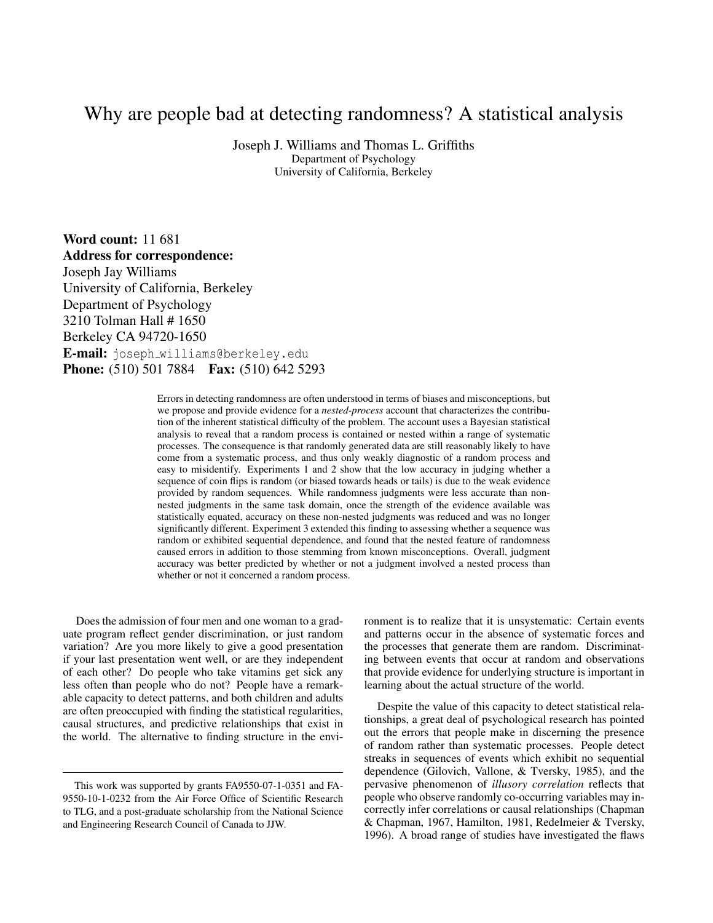# Why are people bad at detecting randomness? A statistical analysis

Joseph J. Williams and Thomas L. Griffiths Department of Psychology University of California, Berkeley

Word count: 11 681 Address for correspondence: Joseph Jay Williams University of California, Berkeley Department of Psychology 3210 Tolman Hall # 1650 Berkeley CA 94720-1650 E-mail: joseph\_williams@berkeley.edu **Phone:** (510) 501 7884 **Fax:** (510) 642 5293

> Errors in detecting randomness are often understood in terms of biases and misconceptions, but we propose and provide evidence for a *nested-process* account that characterizes the contribution of the inherent statistical difficulty of the problem. The account uses a Bayesian statistical analysis to reveal that a random process is contained or nested within a range of systematic processes. The consequence is that randomly generated data are still reasonably likely to have come from a systematic process, and thus only weakly diagnostic of a random process and easy to misidentify. Experiments 1 and 2 show that the low accuracy in judging whether a sequence of coin flips is random (or biased towards heads or tails) is due to the weak evidence provided by random sequences. While randomness judgments were less accurate than nonnested judgments in the same task domain, once the strength of the evidence available was statistically equated, accuracy on these non-nested judgments was reduced and was no longer significantly different. Experiment 3 extended this finding to assessing whether a sequence was random or exhibited sequential dependence, and found that the nested feature of randomness caused errors in addition to those stemming from known misconceptions. Overall, judgment accuracy was better predicted by whether or not a judgment involved a nested process than whether or not it concerned a random process.

Does the admission of four men and one woman to a graduate program reflect gender discrimination, or just random variation? Are you more likely to give a good presentation if your last presentation went well, or are they independent of each other? Do people who take vitamins get sick any less often than people who do not? People have a remarkable capacity to detect patterns, and both children and adults are often preoccupied with finding the statistical regularities, causal structures, and predictive relationships that exist in the world. The alternative to finding structure in the environment is to realize that it is unsystematic: Certain events and patterns occur in the absence of systematic forces and the processes that generate them are random. Discriminating between events that occur at random and observations that provide evidence for underlying structure is important in learning about the actual structure of the world.

Despite the value of this capacity to detect statistical relationships, a great deal of psychological research has pointed out the errors that people make in discerning the presence of random rather than systematic processes. People detect streaks in sequences of events which exhibit no sequential dependence (Gilovich, Vallone, & Tversky, 1985), and the pervasive phenomenon of *illusory correlation* reflects that people who observe randomly co-occurring variables may incorrectly infer correlations or causal relationships (Chapman & Chapman, 1967, Hamilton, 1981, Redelmeier & Tversky, 1996). A broad range of studies have investigated the flaws

This work was supported by grants FA9550-07-1-0351 and FA-9550-10-1-0232 from the Air Force Office of Scientific Research to TLG, and a post-graduate scholarship from the National Science and Engineering Research Council of Canada to JJW.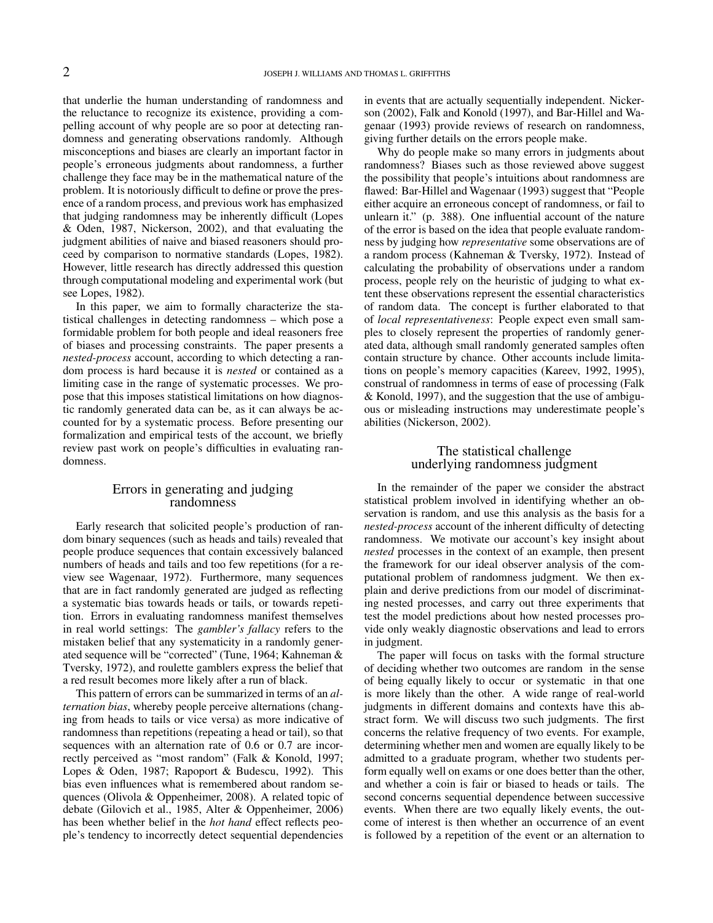that underlie the human understanding of randomness and the reluctance to recognize its existence, providing a compelling account of why people are so poor at detecting randomness and generating observations randomly. Although misconceptions and biases are clearly an important factor in people's erroneous judgments about randomness, a further challenge they face may be in the mathematical nature of the problem. It is notoriously difficult to define or prove the presence of a random process, and previous work has emphasized that judging randomness may be inherently difficult (Lopes & Oden, 1987, Nickerson, 2002), and that evaluating the judgment abilities of naive and biased reasoners should proceed by comparison to normative standards (Lopes, 1982). However, little research has directly addressed this question through computational modeling and experimental work (but see Lopes, 1982).

In this paper, we aim to formally characterize the statistical challenges in detecting randomness – which pose a formidable problem for both people and ideal reasoners free of biases and processing constraints. The paper presents a *nested-process* account, according to which detecting a random process is hard because it is *nested* or contained as a limiting case in the range of systematic processes. We propose that this imposes statistical limitations on how diagnostic randomly generated data can be, as it can always be accounted for by a systematic process. Before presenting our formalization and empirical tests of the account, we briefly review past work on people's difficulties in evaluating randomness.

#### Errors in generating and judging randomness

Early research that solicited people's production of random binary sequences (such as heads and tails) revealed that people produce sequences that contain excessively balanced numbers of heads and tails and too few repetitions (for a review see Wagenaar, 1972). Furthermore, many sequences that are in fact randomly generated are judged as reflecting a systematic bias towards heads or tails, or towards repetition. Errors in evaluating randomness manifest themselves in real world settings: The *gambler's fallacy* refers to the mistaken belief that any systematicity in a randomly generated sequence will be "corrected" (Tune, 1964; Kahneman & Tversky, 1972), and roulette gamblers express the belief that a red result becomes more likely after a run of black.

This pattern of errors can be summarized in terms of an *alternation bias*, whereby people perceive alternations (changing from heads to tails or vice versa) as more indicative of randomness than repetitions (repeating a head or tail), so that sequences with an alternation rate of 0.6 or 0.7 are incorrectly perceived as "most random" (Falk & Konold, 1997; Lopes & Oden, 1987; Rapoport & Budescu, 1992). This bias even influences what is remembered about random sequences (Olivola & Oppenheimer, 2008). A related topic of debate (Gilovich et al., 1985, Alter & Oppenheimer, 2006) has been whether belief in the *hot hand* effect reflects people's tendency to incorrectly detect sequential dependencies in events that are actually sequentially independent. Nickerson (2002), Falk and Konold (1997), and Bar-Hillel and Wagenaar (1993) provide reviews of research on randomness, giving further details on the errors people make.

Why do people make so many errors in judgments about randomness? Biases such as those reviewed above suggest the possibility that people's intuitions about randomness are flawed: Bar-Hillel and Wagenaar (1993) suggest that "People either acquire an erroneous concept of randomness, or fail to unlearn it." (p. 388). One influential account of the nature of the error is based on the idea that people evaluate randomness by judging how *representative* some observations are of a random process (Kahneman & Tversky, 1972). Instead of calculating the probability of observations under a random process, people rely on the heuristic of judging to what extent these observations represent the essential characteristics of random data. The concept is further elaborated to that of *local representativeness*: People expect even small samples to closely represent the properties of randomly generated data, although small randomly generated samples often contain structure by chance. Other accounts include limitations on people's memory capacities (Kareev, 1992, 1995), construal of randomness in terms of ease of processing (Falk & Konold, 1997), and the suggestion that the use of ambiguous or misleading instructions may underestimate people's abilities (Nickerson, 2002).

## The statistical challenge underlying randomness judgment

In the remainder of the paper we consider the abstract statistical problem involved in identifying whether an observation is random, and use this analysis as the basis for a *nested-process* account of the inherent difficulty of detecting randomness. We motivate our account's key insight about *nested* processes in the context of an example, then present the framework for our ideal observer analysis of the computational problem of randomness judgment. We then explain and derive predictions from our model of discriminating nested processes, and carry out three experiments that test the model predictions about how nested processes provide only weakly diagnostic observations and lead to errors in judgment.

The paper will focus on tasks with the formal structure of deciding whether two outcomes are random in the sense of being equally likely to occur or systematic in that one is more likely than the other. A wide range of real-world judgments in different domains and contexts have this abstract form. We will discuss two such judgments. The first concerns the relative frequency of two events. For example, determining whether men and women are equally likely to be admitted to a graduate program, whether two students perform equally well on exams or one does better than the other, and whether a coin is fair or biased to heads or tails. The second concerns sequential dependence between successive events. When there are two equally likely events, the outcome of interest is then whether an occurrence of an event is followed by a repetition of the event or an alternation to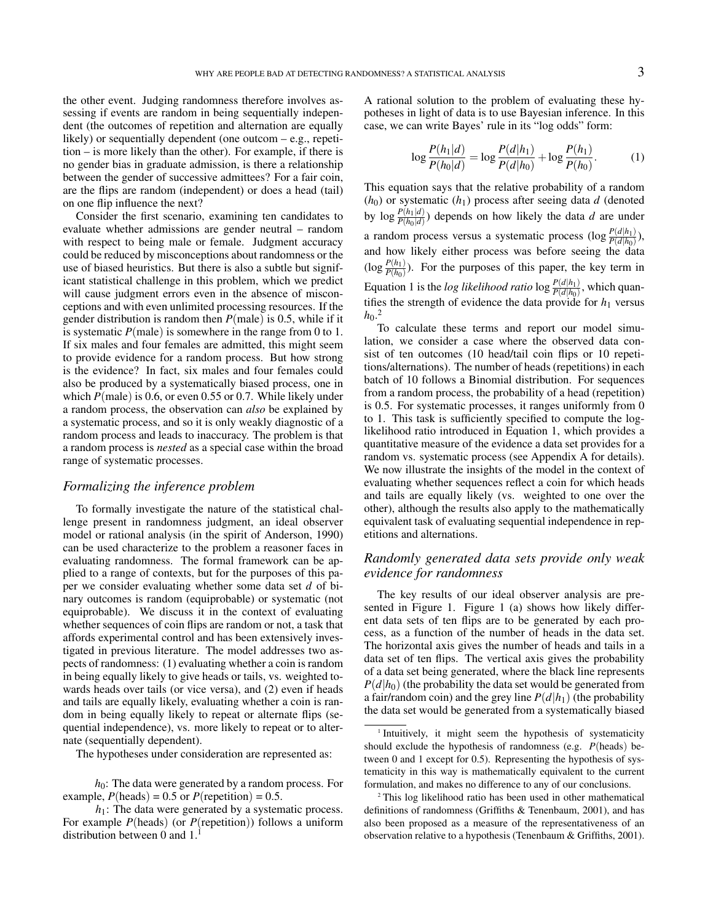the other event. Judging randomness therefore involves assessing if events are random in being sequentially independent (the outcomes of repetition and alternation are equally likely) or sequentially dependent (one outcom – e.g., repetition – is more likely than the other). For example, if there is no gender bias in graduate admission, is there a relationship between the gender of successive admittees? For a fair coin, are the flips are random (independent) or does a head (tail) on one flip influence the next?

Consider the first scenario, examining ten candidates to evaluate whether admissions are gender neutral – random with respect to being male or female. Judgment accuracy could be reduced by misconceptions about randomness or the use of biased heuristics. But there is also a subtle but significant statistical challenge in this problem, which we predict will cause judgment errors even in the absence of misconceptions and with even unlimited processing resources. If the gender distribution is random then *P*(male) is 0.5, while if it is systematic  $P$ (male) is somewhere in the range from 0 to 1. If six males and four females are admitted, this might seem to provide evidence for a random process. But how strong is the evidence? In fact, six males and four females could also be produced by a systematically biased process, one in which *P*(male) is 0.6, or even 0.55 or 0.7. While likely under a random process, the observation can *also* be explained by a systematic process, and so it is only weakly diagnostic of a random process and leads to inaccuracy. The problem is that a random process is *nested* as a special case within the broad range of systematic processes.

## *Formalizing the inference problem*

To formally investigate the nature of the statistical challenge present in randomness judgment, an ideal observer model or rational analysis (in the spirit of Anderson, 1990) can be used characterize to the problem a reasoner faces in evaluating randomness. The formal framework can be applied to a range of contexts, but for the purposes of this paper we consider evaluating whether some data set *d* of binary outcomes is random (equiprobable) or systematic (not equiprobable). We discuss it in the context of evaluating whether sequences of coin flips are random or not, a task that affords experimental control and has been extensively investigated in previous literature. The model addresses two aspects of randomness: (1) evaluating whether a coin is random in being equally likely to give heads or tails, vs. weighted towards heads over tails (or vice versa), and (2) even if heads and tails are equally likely, evaluating whether a coin is random in being equally likely to repeat or alternate flips (sequential independence), vs. more likely to repeat or to alternate (sequentially dependent).

The hypotheses under consideration are represented as:

 $h_0$ : The data were generated by a random process. For example,  $P(\text{heads}) = 0.5$  or  $P(\text{repetition}) = 0.5$ .

*h*<sub>1</sub>: The data were generated by a systematic process. For example *P*(heads) (or *P*(repetition)) follows a uniform distribution between 0 and  $1<sup>1</sup>$ 

A rational solution to the problem of evaluating these hypotheses in light of data is to use Bayesian inference. In this case, we can write Bayes' rule in its "log odds" form:

$$
\log \frac{P(h_1|d)}{P(h_0|d)} = \log \frac{P(d|h_1)}{P(d|h_0)} + \log \frac{P(h_1)}{P(h_0)}.
$$
 (1)

This equation says that the relative probability of a random  $(h_0)$  or systematic  $(h_1)$  process after seeing data  $d$  (denoted by  $\log \frac{P(h_1|d)}{P(h_0|d)}$  depends on how likely the data *d* are under a random process versus a systematic process  $(\log \frac{P(d|h_1)}{P(d|h_0)})$ , and how likely either process was before seeing the data  $(\log \frac{P(h_1)}{P(h_0)})$ . For the purposes of this paper, the key term in Equation 1 is the *log likelihood ratio*  $\log \frac{P(d|h_1)}{P(d|h_0)}$ , which quantifies the strength of evidence the data provide for  $h_1$  versus  $h_0$ <sup>2</sup>

To calculate these terms and report our model simulation, we consider a case where the observed data consist of ten outcomes (10 head/tail coin flips or 10 repetitions/alternations). The number of heads (repetitions) in each batch of 10 follows a Binomial distribution. For sequences from a random process, the probability of a head (repetition) is 0.5. For systematic processes, it ranges uniformly from 0 to 1. This task is sufficiently specified to compute the loglikelihood ratio introduced in Equation 1, which provides a quantitative measure of the evidence a data set provides for a random vs. systematic process (see Appendix A for details). We now illustrate the insights of the model in the context of evaluating whether sequences reflect a coin for which heads and tails are equally likely (vs. weighted to one over the other), although the results also apply to the mathematically equivalent task of evaluating sequential independence in repetitions and alternations.

## *Randomly generated data sets provide only weak evidence for randomness*

The key results of our ideal observer analysis are presented in Figure 1. Figure 1 (a) shows how likely different data sets of ten flips are to be generated by each process, as a function of the number of heads in the data set. The horizontal axis gives the number of heads and tails in a data set of ten flips. The vertical axis gives the probability of a data set being generated, where the black line represents  $P(d|h_0)$  (the probability the data set would be generated from a fair/random coin) and the grey line  $P(d|h_1)$  (the probability the data set would be generated from a systematically biased

<sup>1</sup> Intuitively, it might seem the hypothesis of systematicity should exclude the hypothesis of randomness (e.g. *P*(heads) between 0 and 1 except for 0.5). Representing the hypothesis of systematicity in this way is mathematically equivalent to the current formulation, and makes no difference to any of our conclusions.

<sup>2</sup> This log likelihood ratio has been used in other mathematical definitions of randomness (Griffiths & Tenenbaum, 2001), and has also been proposed as a measure of the representativeness of an observation relative to a hypothesis (Tenenbaum & Griffiths, 2001).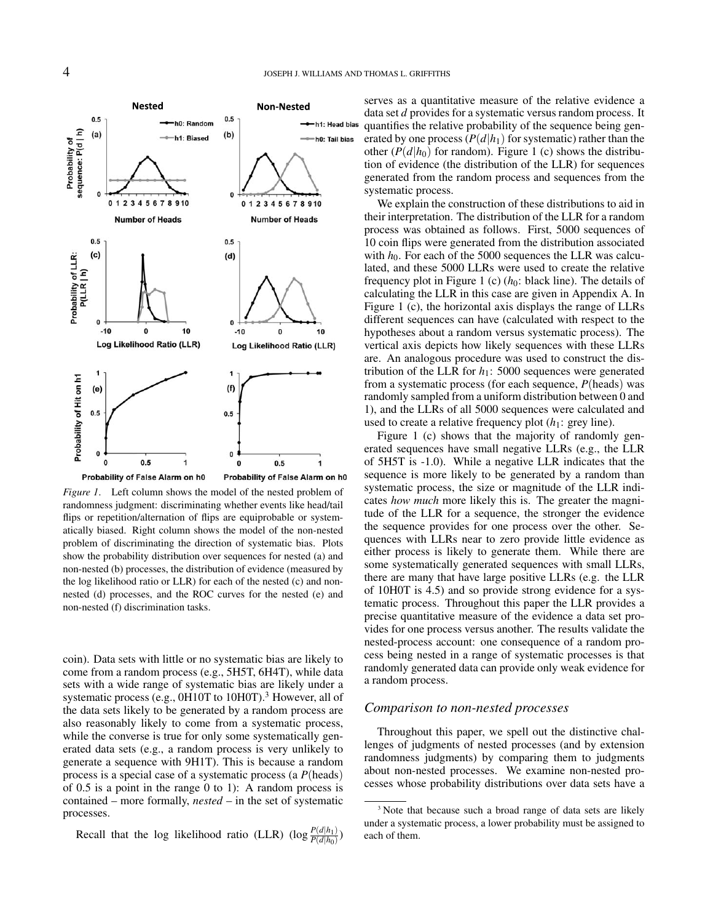

Probability of False Alarm on h0 Probability of False Alarm on h0

*Figure 1*. Left column shows the model of the nested problem of randomness judgment: discriminating whether events like head/tail flips or repetition/alternation of flips are equiprobable or systematically biased. Right column shows the model of the non-nested problem of discriminating the direction of systematic bias. Plots show the probability distribution over sequences for nested (a) and non-nested (b) processes, the distribution of evidence (measured by the log likelihood ratio or LLR) for each of the nested (c) and nonnested (d) processes, and the ROC curves for the nested (e) and non-nested (f) discrimination tasks.

coin). Data sets with little or no systematic bias are likely to come from a random process (e.g., 5H5T, 6H4T), while data sets with a wide range of systematic bias are likely under a systematic process (e.g.,  $0H10T$  to  $10H0T$ ).<sup>3</sup> However, all of the data sets likely to be generated by a random process are also reasonably likely to come from a systematic process, while the converse is true for only some systematically generated data sets (e.g., a random process is very unlikely to generate a sequence with 9H1T). This is because a random process is a special case of a systematic process (a *P*(heads) of 0.5 is a point in the range 0 to 1): A random process is contained – more formally, *nested* – in the set of systematic processes.

Recall that the log likelihood ratio (LLR)  $(\log \frac{P(d|h_1)}{P(d|h_0)})$ 

serves as a quantitative measure of the relative evidence a data set *d* provides for a systematic versus random process. It quantifies the relative probability of the sequence being generated by one process  $(P(d|h_1))$  for systematic) rather than the other  $(P(d|h_0)$  for random). Figure 1 (c) shows the distribution of evidence (the distribution of the LLR) for sequences generated from the random process and sequences from the systematic process.

We explain the construction of these distributions to aid in their interpretation. The distribution of the LLR for a random process was obtained as follows. First, 5000 sequences of 10 coin flips were generated from the distribution associated with  $h_0$ . For each of the 5000 sequences the LLR was calculated, and these 5000 LLRs were used to create the relative frequency plot in Figure 1 (c)  $(h_0:$  black line). The details of calculating the LLR in this case are given in Appendix A. In Figure 1 (c), the horizontal axis displays the range of LLRs different sequences can have (calculated with respect to the hypotheses about a random versus systematic process). The vertical axis depicts how likely sequences with these LLRs are. An analogous procedure was used to construct the distribution of the LLR for  $h_1$ : 5000 sequences were generated from a systematic process (for each sequence, *P*(heads) was randomly sampled from a uniform distribution between 0 and 1), and the LLRs of all 5000 sequences were calculated and used to create a relative frequency plot  $(h_1: \text{grey line}).$ 

Figure 1 (c) shows that the majority of randomly generated sequences have small negative LLRs (e.g., the LLR of 5H5T is -1.0). While a negative LLR indicates that the sequence is more likely to be generated by a random than systematic process, the size or magnitude of the LLR indicates *how much* more likely this is. The greater the magnitude of the LLR for a sequence, the stronger the evidence the sequence provides for one process over the other. Sequences with LLRs near to zero provide little evidence as either process is likely to generate them. While there are some systematically generated sequences with small LLRs, there are many that have large positive LLRs (e.g. the LLR of 10H0T is 4.5) and so provide strong evidence for a systematic process. Throughout this paper the LLR provides a precise quantitative measure of the evidence a data set provides for one process versus another. The results validate the nested-process account: one consequence of a random process being nested in a range of systematic processes is that randomly generated data can provide only weak evidence for a random process.

#### *Comparison to non-nested processes*

Throughout this paper, we spell out the distinctive challenges of judgments of nested processes (and by extension randomness judgments) by comparing them to judgments about non-nested processes. We examine non-nested processes whose probability distributions over data sets have a

<sup>&</sup>lt;sup>3</sup> Note that because such a broad range of data sets are likely under a systematic process, a lower probability must be assigned to each of them.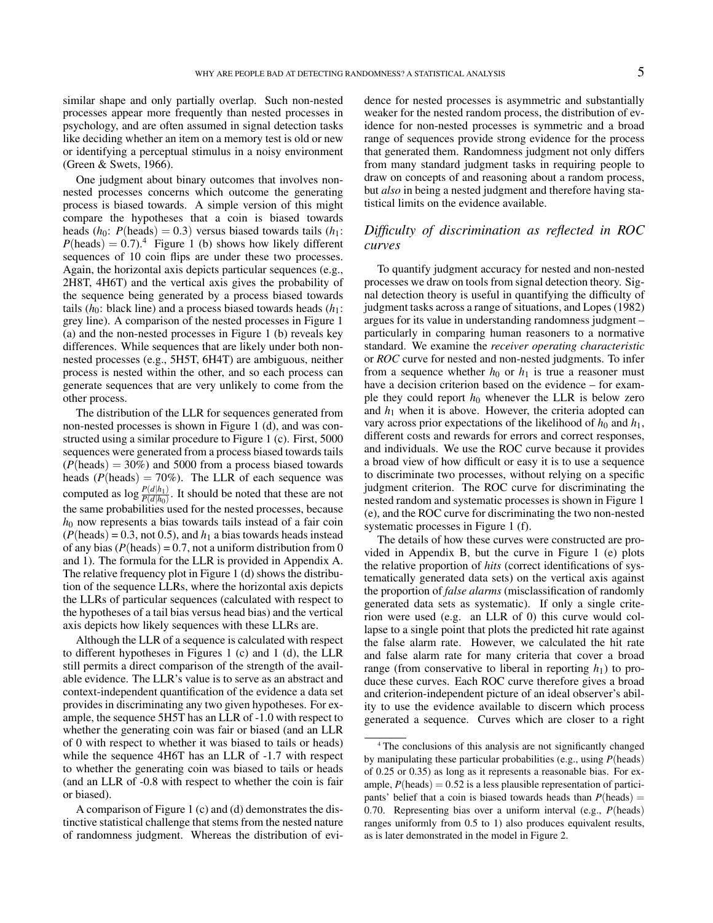similar shape and only partially overlap. Such non-nested processes appear more frequently than nested processes in psychology, and are often assumed in signal detection tasks like deciding whether an item on a memory test is old or new or identifying a perceptual stimulus in a noisy environment (Green & Swets, 1966).

One judgment about binary outcomes that involves nonnested processes concerns which outcome the generating process is biased towards. A simple version of this might compare the hypotheses that a coin is biased towards heads  $(h_0: P(\text{heads}) = 0.3)$  versus biased towards tails  $(h_1:$  $P(\text{heads}) = 0.7$ .<sup>4</sup> Figure 1 (b) shows how likely different sequences of 10 coin flips are under these two processes. Again, the horizontal axis depicts particular sequences (e.g., 2H8T, 4H6T) and the vertical axis gives the probability of the sequence being generated by a process biased towards tails  $(h_0:$  black line) and a process biased towards heads  $(h_1:$ grey line). A comparison of the nested processes in Figure 1 (a) and the non-nested processes in Figure 1 (b) reveals key differences. While sequences that are likely under both nonnested processes (e.g., 5H5T, 6H4T) are ambiguous, neither process is nested within the other, and so each process can generate sequences that are very unlikely to come from the other process.

The distribution of the LLR for sequences generated from non-nested processes is shown in Figure 1 (d), and was constructed using a similar procedure to Figure 1 (c). First, 5000 sequences were generated from a process biased towards tails  $(P(\text{heads}) = 30\%)$  and 5000 from a process biased towards heads ( $P(\text{heads}) = 70\%$ ). The LLR of each sequence was computed as  $\log \frac{P(d|h_1)}{P(d|h_0)}$ . It should be noted that these are not the same probabilities used for the nested processes, because  $h_0$  now represents a bias towards tails instead of a fair coin  $(P(\text{heads}) = 0.3, \text{not } 0.5)$ , and  $h_1$  a bias towards heads instead of any bias  $(P(\text{heads}) = 0.7, \text{not a uniform distribution from } 0$ and 1). The formula for the LLR is provided in Appendix A. The relative frequency plot in Figure 1 (d) shows the distribution of the sequence LLRs, where the horizontal axis depicts the LLRs of particular sequences (calculated with respect to the hypotheses of a tail bias versus head bias) and the vertical axis depicts how likely sequences with these LLRs are.

Although the LLR of a sequence is calculated with respect to different hypotheses in Figures 1 (c) and 1 (d), the LLR still permits a direct comparison of the strength of the available evidence. The LLR's value is to serve as an abstract and context-independent quantification of the evidence a data set provides in discriminating any two given hypotheses. For example, the sequence 5H5T has an LLR of -1.0 with respect to whether the generating coin was fair or biased (and an LLR of 0 with respect to whether it was biased to tails or heads) while the sequence 4H6T has an LLR of  $-1.7$  with respect to whether the generating coin was biased to tails or heads (and an LLR of -0.8 with respect to whether the coin is fair or biased).

A comparison of Figure 1 (c) and (d) demonstrates the distinctive statistical challenge that stems from the nested nature of randomness judgment. Whereas the distribution of evidence for nested processes is asymmetric and substantially weaker for the nested random process, the distribution of evidence for non-nested processes is symmetric and a broad range of sequences provide strong evidence for the process that generated them. Randomness judgment not only differs from many standard judgment tasks in requiring people to draw on concepts of and reasoning about a random process, but *also* in being a nested judgment and therefore having statistical limits on the evidence available.

## *Difficulty of discrimination as reflected in ROC curves*

To quantify judgment accuracy for nested and non-nested processes we draw on tools from signal detection theory. Signal detection theory is useful in quantifying the difficulty of judgment tasks across a range of situations, and Lopes (1982) argues for its value in understanding randomness judgment – particularly in comparing human reasoners to a normative standard. We examine the *receiver operating characteristic* or *ROC* curve for nested and non-nested judgments. To infer from a sequence whether  $h_0$  or  $h_1$  is true a reasoner must have a decision criterion based on the evidence – for example they could report  $h_0$  whenever the LLR is below zero and  $h_1$  when it is above. However, the criteria adopted can vary across prior expectations of the likelihood of  $h_0$  and  $h_1$ , different costs and rewards for errors and correct responses, and individuals. We use the ROC curve because it provides a broad view of how difficult or easy it is to use a sequence to discriminate two processes, without relying on a specific judgment criterion. The ROC curve for discriminating the nested random and systematic processes is shown in Figure 1 (e), and the ROC curve for discriminating the two non-nested systematic processes in Figure 1 (f).

The details of how these curves were constructed are provided in Appendix B, but the curve in Figure 1 (e) plots the relative proportion of *hits* (correct identifications of systematically generated data sets) on the vertical axis against the proportion of *false alarms* (misclassification of randomly generated data sets as systematic). If only a single criterion were used (e.g. an LLR of 0) this curve would collapse to a single point that plots the predicted hit rate against the false alarm rate. However, we calculated the hit rate and false alarm rate for many criteria that cover a broad range (from conservative to liberal in reporting  $h_1$ ) to produce these curves. Each ROC curve therefore gives a broad and criterion-independent picture of an ideal observer's ability to use the evidence available to discern which process generated a sequence. Curves which are closer to a right

<sup>4</sup> The conclusions of this analysis are not significantly changed by manipulating these particular probabilities (e.g., using *P*(heads) of 0.25 or 0.35) as long as it represents a reasonable bias. For example,  $P(\text{heads}) = 0.52$  is a less plausible representation of participants' belief that a coin is biased towards heads than  $P(\text{heads}) =$ 0.70. Representing bias over a uniform interval (e.g., *P*(heads) ranges uniformly from 0.5 to 1) also produces equivalent results, as is later demonstrated in the model in Figure 2.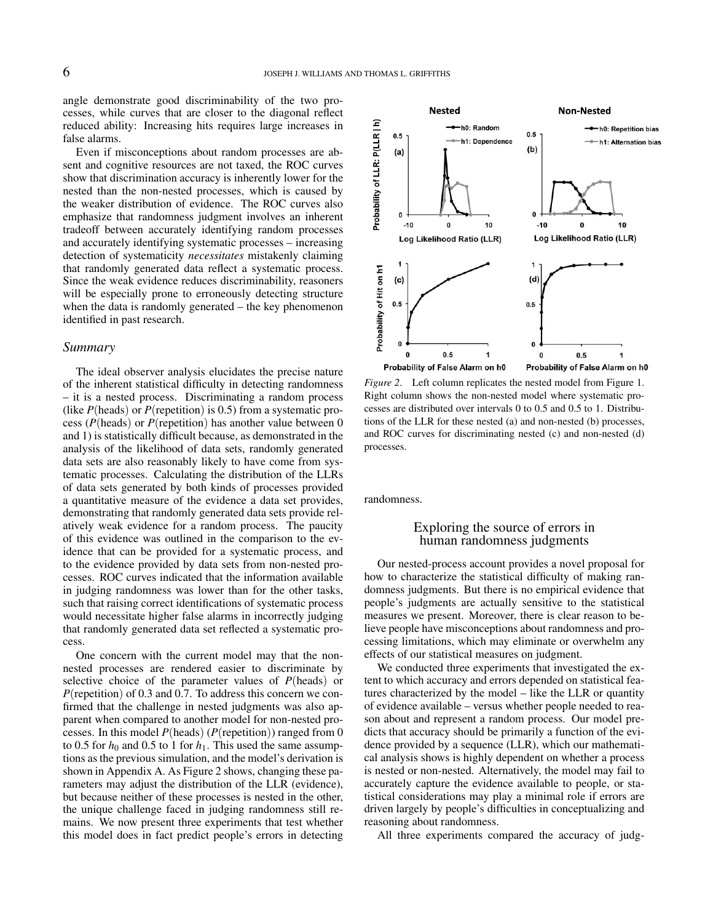angle demonstrate good discriminability of the two processes, while curves that are closer to the diagonal reflect reduced ability: Increasing hits requires large increases in false alarms.

Even if misconceptions about random processes are absent and cognitive resources are not taxed, the ROC curves show that discrimination accuracy is inherently lower for the nested than the non-nested processes, which is caused by the weaker distribution of evidence. The ROC curves also emphasize that randomness judgment involves an inherent tradeoff between accurately identifying random processes and accurately identifying systematic processes – increasing detection of systematicity *necessitates* mistakenly claiming that randomly generated data reflect a systematic process. Since the weak evidence reduces discriminability, reasoners will be especially prone to erroneously detecting structure when the data is randomly generated – the key phenomenon identified in past research.

#### *Summary*

The ideal observer analysis elucidates the precise nature of the inherent statistical difficulty in detecting randomness – it is a nested process. Discriminating a random process (like *P*(heads) or *P*(repetition) is 0.5) from a systematic process (*P*(heads) or *P*(repetition) has another value between 0 and 1) is statistically difficult because, as demonstrated in the analysis of the likelihood of data sets, randomly generated data sets are also reasonably likely to have come from systematic processes. Calculating the distribution of the LLRs of data sets generated by both kinds of processes provided a quantitative measure of the evidence a data set provides, demonstrating that randomly generated data sets provide relatively weak evidence for a random process. The paucity of this evidence was outlined in the comparison to the evidence that can be provided for a systematic process, and to the evidence provided by data sets from non-nested processes. ROC curves indicated that the information available in judging randomness was lower than for the other tasks, such that raising correct identifications of systematic process would necessitate higher false alarms in incorrectly judging that randomly generated data set reflected a systematic process.

One concern with the current model may that the nonnested processes are rendered easier to discriminate by selective choice of the parameter values of *P*(heads) or *P*(repetition) of 0.3 and 0.7. To address this concern we confirmed that the challenge in nested judgments was also apparent when compared to another model for non-nested processes. In this model *P*(heads) (*P*(repetition)) ranged from 0 to 0.5 for  $h_0$  and 0.5 to 1 for  $h_1$ . This used the same assumptions as the previous simulation, and the model's derivation is shown in Appendix A. As Figure 2 shows, changing these parameters may adjust the distribution of the LLR (evidence), but because neither of these processes is nested in the other, the unique challenge faced in judging randomness still remains. We now present three experiments that test whether this model does in fact predict people's errors in detecting



*Figure 2*. Left column replicates the nested model from Figure 1. Right column shows the non-nested model where systematic processes are distributed over intervals 0 to 0.5 and 0.5 to 1. Distributions of the LLR for these nested (a) and non-nested (b) processes, and ROC curves for discriminating nested (c) and non-nested (d) processes.

randomness.

#### Exploring the source of errors in human randomness judgments

Our nested-process account provides a novel proposal for how to characterize the statistical difficulty of making randomness judgments. But there is no empirical evidence that people's judgments are actually sensitive to the statistical measures we present. Moreover, there is clear reason to believe people have misconceptions about randomness and processing limitations, which may eliminate or overwhelm any effects of our statistical measures on judgment.

We conducted three experiments that investigated the extent to which accuracy and errors depended on statistical features characterized by the model – like the LLR or quantity of evidence available – versus whether people needed to reason about and represent a random process. Our model predicts that accuracy should be primarily a function of the evidence provided by a sequence (LLR), which our mathematical analysis shows is highly dependent on whether a process is nested or non-nested. Alternatively, the model may fail to accurately capture the evidence available to people, or statistical considerations may play a minimal role if errors are driven largely by people's difficulties in conceptualizing and reasoning about randomness.

All three experiments compared the accuracy of judg-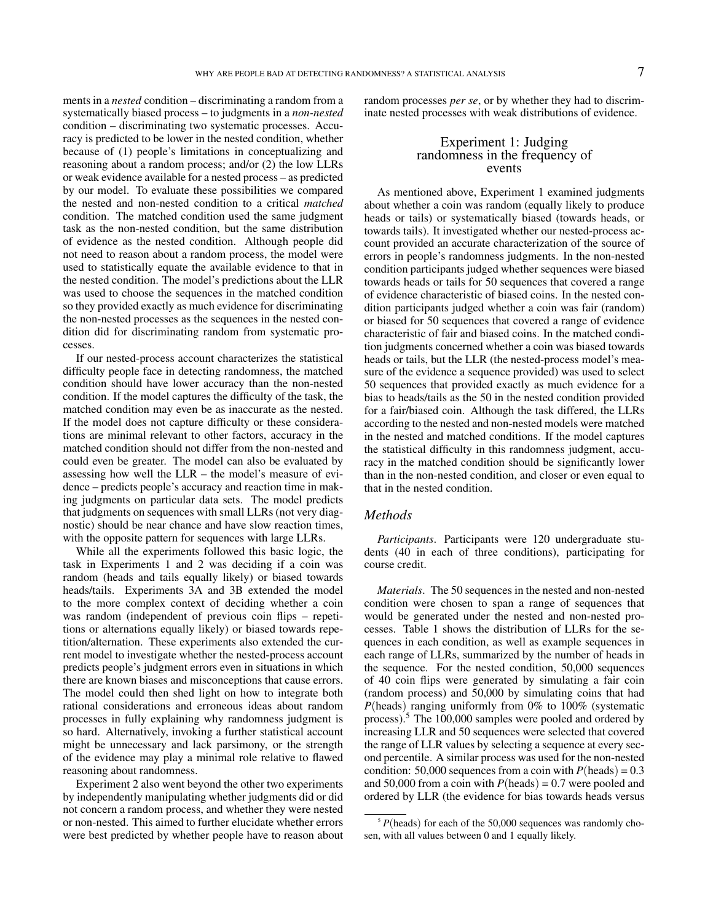ments in a *nested* condition – discriminating a random from a systematically biased process – to judgments in a *non-nested* condition – discriminating two systematic processes. Accuracy is predicted to be lower in the nested condition, whether because of (1) people's limitations in conceptualizing and reasoning about a random process; and/or (2) the low LLRs or weak evidence available for a nested process – as predicted by our model. To evaluate these possibilities we compared the nested and non-nested condition to a critical *matched* condition. The matched condition used the same judgment task as the non-nested condition, but the same distribution of evidence as the nested condition. Although people did not need to reason about a random process, the model were used to statistically equate the available evidence to that in the nested condition. The model's predictions about the LLR was used to choose the sequences in the matched condition so they provided exactly as much evidence for discriminating the non-nested processes as the sequences in the nested condition did for discriminating random from systematic processes.

If our nested-process account characterizes the statistical difficulty people face in detecting randomness, the matched condition should have lower accuracy than the non-nested condition. If the model captures the difficulty of the task, the matched condition may even be as inaccurate as the nested. If the model does not capture difficulty or these considerations are minimal relevant to other factors, accuracy in the matched condition should not differ from the non-nested and could even be greater. The model can also be evaluated by assessing how well the LLR – the model's measure of evidence – predicts people's accuracy and reaction time in making judgments on particular data sets. The model predicts that judgments on sequences with small LLRs (not very diagnostic) should be near chance and have slow reaction times, with the opposite pattern for sequences with large LLRs.

While all the experiments followed this basic logic, the task in Experiments 1 and 2 was deciding if a coin was random (heads and tails equally likely) or biased towards heads/tails. Experiments 3A and 3B extended the model to the more complex context of deciding whether a coin was random (independent of previous coin flips – repetitions or alternations equally likely) or biased towards repetition/alternation. These experiments also extended the current model to investigate whether the nested-process account predicts people's judgment errors even in situations in which there are known biases and misconceptions that cause errors. The model could then shed light on how to integrate both rational considerations and erroneous ideas about random processes in fully explaining why randomness judgment is so hard. Alternatively, invoking a further statistical account might be unnecessary and lack parsimony, or the strength of the evidence may play a minimal role relative to flawed reasoning about randomness.

Experiment 2 also went beyond the other two experiments by independently manipulating whether judgments did or did not concern a random process, and whether they were nested or non-nested. This aimed to further elucidate whether errors were best predicted by whether people have to reason about random processes *per se*, or by whether they had to discriminate nested processes with weak distributions of evidence.

#### Experiment 1: Judging randomness in the frequency of events

As mentioned above, Experiment 1 examined judgments about whether a coin was random (equally likely to produce heads or tails) or systematically biased (towards heads, or towards tails). It investigated whether our nested-process account provided an accurate characterization of the source of errors in people's randomness judgments. In the non-nested condition participants judged whether sequences were biased towards heads or tails for 50 sequences that covered a range of evidence characteristic of biased coins. In the nested condition participants judged whether a coin was fair (random) or biased for 50 sequences that covered a range of evidence characteristic of fair and biased coins. In the matched condition judgments concerned whether a coin was biased towards heads or tails, but the LLR (the nested-process model's measure of the evidence a sequence provided) was used to select 50 sequences that provided exactly as much evidence for a bias to heads/tails as the 50 in the nested condition provided for a fair/biased coin. Although the task differed, the LLRs according to the nested and non-nested models were matched in the nested and matched conditions. If the model captures the statistical difficulty in this randomness judgment, accuracy in the matched condition should be significantly lower than in the non-nested condition, and closer or even equal to that in the nested condition.

#### *Methods*

*Participants*. Participants were 120 undergraduate students (40 in each of three conditions), participating for course credit.

*Materials*. The 50 sequences in the nested and non-nested condition were chosen to span a range of sequences that would be generated under the nested and non-nested processes. Table 1 shows the distribution of LLRs for the sequences in each condition, as well as example sequences in each range of LLRs, summarized by the number of heads in the sequence. For the nested condition, 50,000 sequences of 40 coin flips were generated by simulating a fair coin (random process) and 50,000 by simulating coins that had *P*(heads) ranging uniformly from 0% to 100% (systematic process).<sup>5</sup> The 100,000 samples were pooled and ordered by increasing LLR and 50 sequences were selected that covered the range of LLR values by selecting a sequence at every second percentile. A similar process was used for the non-nested condition: 50,000 sequences from a coin with  $P(\text{heads}) = 0.3$ and 50,000 from a coin with  $P(\text{heads}) = 0.7$  were pooled and ordered by LLR (the evidence for bias towards heads versus

<sup>&</sup>lt;sup>5</sup> *P*(heads) for each of the 50,000 sequences was randomly chosen, with all values between 0 and 1 equally likely.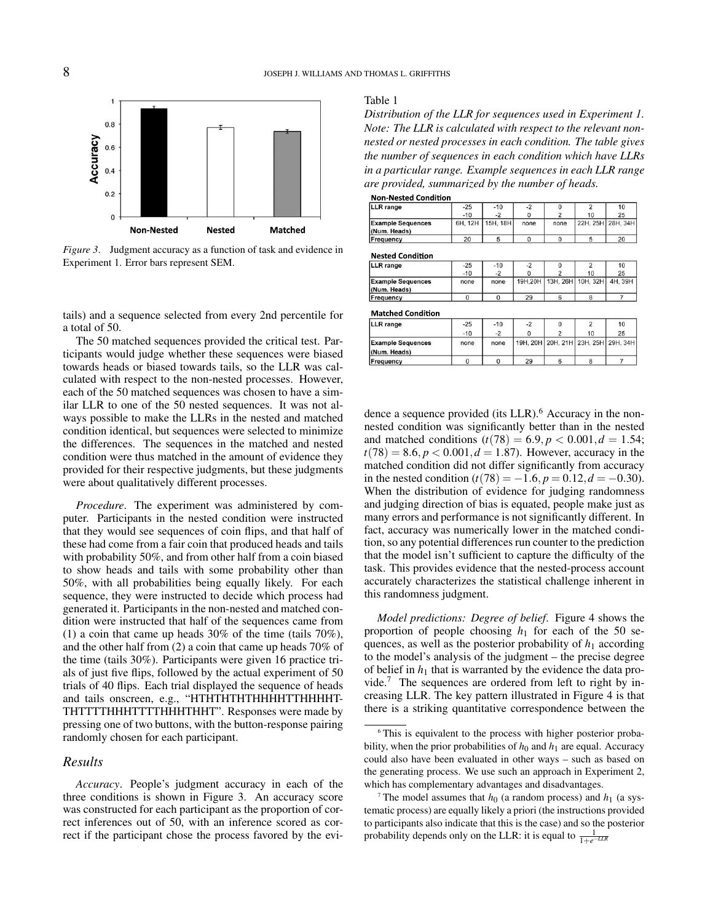

*Figure 3*. Judgment accuracy as a function of task and evidence in Experiment 1. Error bars represent SEM.

tails) and a sequence selected from every 2nd percentile for a total of 50.

The 50 matched sequences provided the critical test. Participants would judge whether these sequences were biased towards heads or biased towards tails, so the LLR was calculated with respect to the non-nested processes. However, each of the 50 matched sequences was chosen to have a similar LLR to one of the 50 nested sequences. It was not always possible to make the LLRs in the nested and matched condition identical, but sequences were selected to minimize the differences. The sequences in the matched and nested condition were thus matched in the amount of evidence they provided for their respective judgments, but these judgments were about qualitatively different processes.

*Procedure*. The experiment was administered by computer. Participants in the nested condition were instructed that they would see sequences of coin flips, and that half of these had come from a fair coin that produced heads and tails with probability 50%, and from other half from a coin biased to show heads and tails with some probability other than 50%, with all probabilities being equally likely. For each sequence, they were instructed to decide which process had generated it. Participants in the non-nested and matched condition were instructed that half of the sequences came from (1) a coin that came up heads 30% of the time (tails 70%), and the other half from (2) a coin that came up heads 70% of the time (tails 30%). Participants were given 16 practice trials of just five flips, followed by the actual experiment of 50 trials of 40 flips. Each trial displayed the sequence of heads and tails onscreen, e.g., "HTHTHTHTHHHHTTHHHHT-THTTTTHHHTTTTHHHTHHT". Responses were made by pressing one of two buttons, with the button-response pairing randomly chosen for each participant.

#### *Results*

*Accuracy*. People's judgment accuracy in each of the three conditions is shown in Figure 3. An accuracy score was constructed for each participant as the proportion of correct inferences out of 50, with an inference scored as correct if the participant chose the process favored by the evi-

#### Table 1

*Distribution of the LLR for sequences used in Experiment 1. Note: The LLR is calculated with respect to the relevant nonnested or nested processes in each condition. The table gives the number of sequences in each condition which have LLRs in a particular range. Example sequences in each LLR range are provided, summarized by the number of heads.*

**Non-Nested Condition** 

| <b>LLR</b> range                         | $-25$ | $-10$            |      |      |                   | 10 |
|------------------------------------------|-------|------------------|------|------|-------------------|----|
|                                          | $-10$ |                  |      |      | 10                | 25 |
| <b>Example Sequences</b><br>(Num. Heads) |       | 6H, 12H 15H, 18H | none | none | 22H, 25H 28H, 34H |    |
| Frequency                                | 20    |                  |      |      |                   | 20 |

**Nested Condition** 

| LLR range                                | $-25$ | $-10$ | ÷ż |                                          |    | 10 |
|------------------------------------------|-------|-------|----|------------------------------------------|----|----|
|                                          | $-10$ | $-2$  |    |                                          | 10 | 25 |
| <b>Example Sequences</b><br>(Num. Heads) | none  | none  |    | 19H, 20H   13H, 26H   10H, 32H   4H, 39H |    |    |
| Frequency                                |       |       | 29 |                                          |    |    |

**Matched Condition** 

| <b>LLR</b> range                         | $-25$ | $-10$ | -2 |    | 10                                  |
|------------------------------------------|-------|-------|----|----|-------------------------------------|
|                                          | $-10$ | $-2$  |    | 10 | 25                                  |
| <b>Example Sequences</b><br>(Num. Heads) | none  | none  |    |    | 19H, 20H 20H, 21H 23H, 25H 29H, 34H |
| Frequency                                |       |       | 29 |    |                                     |

dence a sequence provided (its LLR).<sup>6</sup> Accuracy in the nonnested condition was significantly better than in the nested and matched conditions  $(t(78) = 6.9, p < 0.001, d = 1.54;$  $t(78) = 8.6, p < 0.001, d = 1.87$ . However, accuracy in the matched condition did not differ significantly from accuracy in the nested condition ( $t(78) = -1.6$ ,  $p = 0.12$ ,  $d = -0.30$ ). When the distribution of evidence for judging randomness and judging direction of bias is equated, people make just as many errors and performance is not significantly different. In fact, accuracy was numerically lower in the matched condition, so any potential differences run counter to the prediction that the model isn't sufficient to capture the difficulty of the task. This provides evidence that the nested-process account accurately characterizes the statistical challenge inherent in this randomness judgment.

*Model predictions: Degree of belief*. Figure 4 shows the proportion of people choosing  $h_1$  for each of the 50 sequences, as well as the posterior probability of  $h_1$  according to the model's analysis of the judgment – the precise degree of belief in  $h_1$  that is warranted by the evidence the data provide. $7$  The sequences are ordered from left to right by increasing LLR. The key pattern illustrated in Figure 4 is that there is a striking quantitative correspondence between the

<sup>6</sup> This is equivalent to the process with higher posterior probability, when the prior probabilities of  $h_0$  and  $h_1$  are equal. Accuracy could also have been evaluated in other ways – such as based on the generating process. We use such an approach in Experiment 2, which has complementary advantages and disadvantages.

<sup>&</sup>lt;sup>7</sup> The model assumes that  $h_0$  (a random process) and  $h_1$  (a systematic process) are equally likely a priori (the instructions provided to participants also indicate that this is the case) and so the posterior probability depends only on the LLR: it is equal to  $\frac{1}{1+e^{-LLR}}$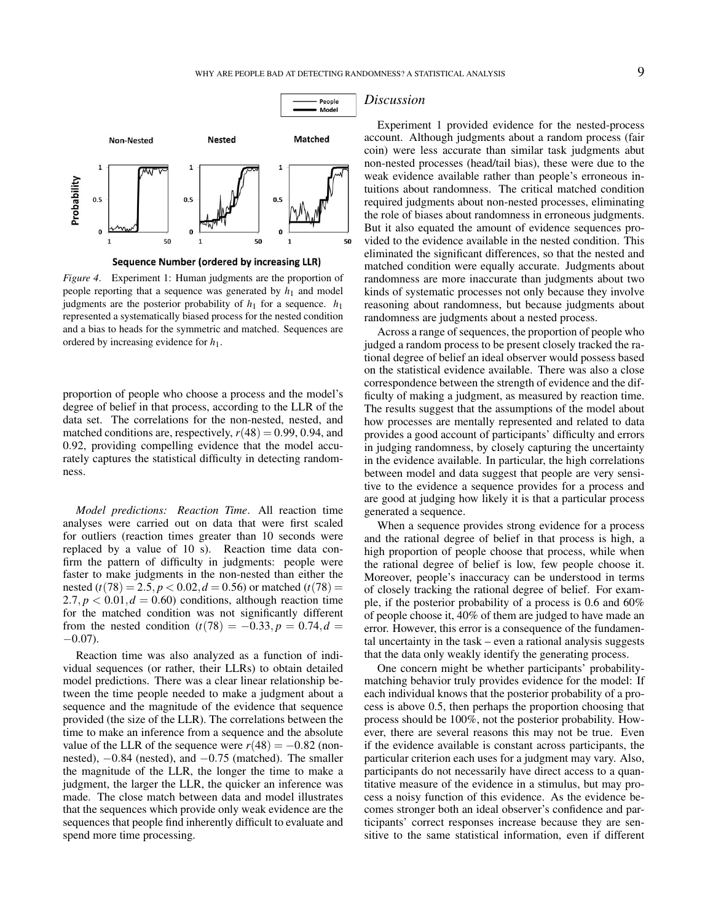

Sequence Number (ordered by increasing LLR)

*Figure 4*. Experiment 1: Human judgments are the proportion of people reporting that a sequence was generated by  $h_1$  and model judgments are the posterior probability of  $h_1$  for a sequence.  $h_1$ represented a systematically biased process for the nested condition and a bias to heads for the symmetric and matched. Sequences are ordered by increasing evidence for *h*1.

proportion of people who choose a process and the model's degree of belief in that process, according to the LLR of the data set. The correlations for the non-nested, nested, and matched conditions are, respectively,  $r(48) = 0.99, 0.94,$  and 0.92, providing compelling evidence that the model accurately captures the statistical difficulty in detecting randomness.

*Model predictions: Reaction Time*. All reaction time analyses were carried out on data that were first scaled for outliers (reaction times greater than 10 seconds were replaced by a value of 10 s). Reaction time data confirm the pattern of difficulty in judgments: people were faster to make judgments in the non-nested than either the nested ( $t(78) = 2.5$ ,  $p < 0.02$ ,  $d = 0.56$ ) or matched ( $t(78) =$  $2.7, p < 0.01, d = 0.60$  conditions, although reaction time for the matched condition was not significantly different from the nested condition  $(t(78) = -0.33, p = 0.74, d =$  $-0.07$ ).

Reaction time was also analyzed as a function of individual sequences (or rather, their LLRs) to obtain detailed model predictions. There was a clear linear relationship between the time people needed to make a judgment about a sequence and the magnitude of the evidence that sequence provided (the size of the LLR). The correlations between the time to make an inference from a sequence and the absolute value of the LLR of the sequence were  $r(48) = -0.82$  (nonnested),  $-0.84$  (nested), and  $-0.75$  (matched). The smaller the magnitude of the LLR, the longer the time to make a judgment, the larger the LLR, the quicker an inference was made. The close match between data and model illustrates that the sequences which provide only weak evidence are the sequences that people find inherently difficult to evaluate and spend more time processing.

#### *Discussion*

Experiment 1 provided evidence for the nested-process account. Although judgments about a random process (fair coin) were less accurate than similar task judgments abut non-nested processes (head/tail bias), these were due to the weak evidence available rather than people's erroneous intuitions about randomness. The critical matched condition required judgments about non-nested processes, eliminating the role of biases about randomness in erroneous judgments. But it also equated the amount of evidence sequences provided to the evidence available in the nested condition. This eliminated the significant differences, so that the nested and matched condition were equally accurate. Judgments about randomness are more inaccurate than judgments about two kinds of systematic processes not only because they involve reasoning about randomness, but because judgments about randomness are judgments about a nested process.

Across a range of sequences, the proportion of people who judged a random process to be present closely tracked the rational degree of belief an ideal observer would possess based on the statistical evidence available. There was also a close correspondence between the strength of evidence and the difficulty of making a judgment, as measured by reaction time. The results suggest that the assumptions of the model about how processes are mentally represented and related to data provides a good account of participants' difficulty and errors in judging randomness, by closely capturing the uncertainty in the evidence available. In particular, the high correlations between model and data suggest that people are very sensitive to the evidence a sequence provides for a process and are good at judging how likely it is that a particular process generated a sequence.

When a sequence provides strong evidence for a process and the rational degree of belief in that process is high, a high proportion of people choose that process, while when the rational degree of belief is low, few people choose it. Moreover, people's inaccuracy can be understood in terms of closely tracking the rational degree of belief. For example, if the posterior probability of a process is 0.6 and 60% of people choose it, 40% of them are judged to have made an error. However, this error is a consequence of the fundamental uncertainty in the task – even a rational analysis suggests that the data only weakly identify the generating process.

One concern might be whether participants' probabilitymatching behavior truly provides evidence for the model: If each individual knows that the posterior probability of a process is above 0.5, then perhaps the proportion choosing that process should be 100%, not the posterior probability. However, there are several reasons this may not be true. Even if the evidence available is constant across participants, the particular criterion each uses for a judgment may vary. Also, participants do not necessarily have direct access to a quantitative measure of the evidence in a stimulus, but may process a noisy function of this evidence. As the evidence becomes stronger both an ideal observer's confidence and participants' correct responses increase because they are sensitive to the same statistical information, even if different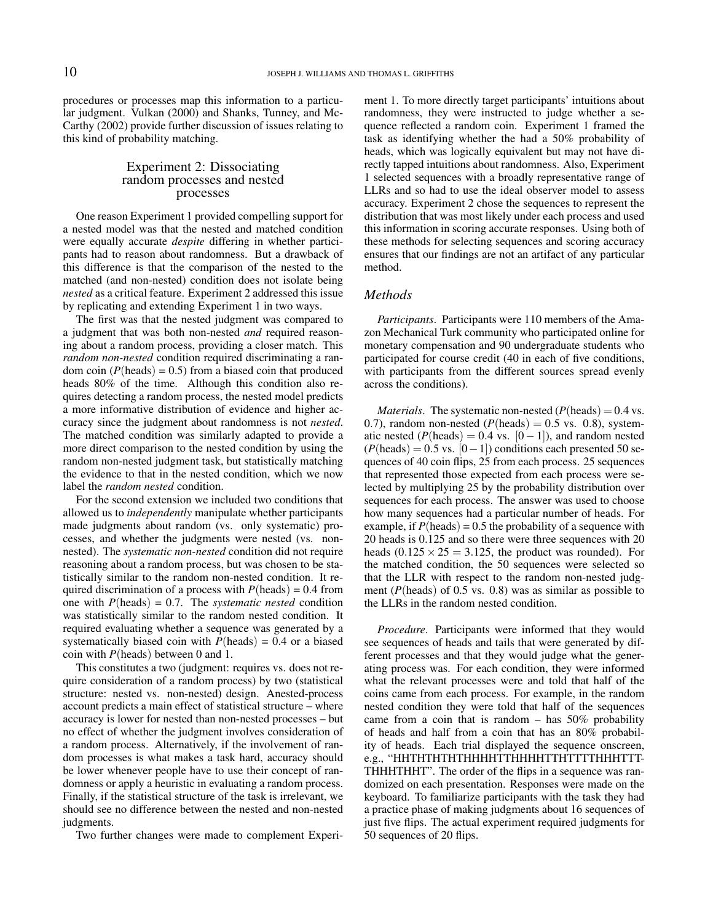procedures or processes map this information to a particular judgment. Vulkan (2000) and Shanks, Tunney, and Mc-Carthy (2002) provide further discussion of issues relating to this kind of probability matching.

## Experiment 2: Dissociating random processes and nested processes

One reason Experiment 1 provided compelling support for a nested model was that the nested and matched condition were equally accurate *despite* differing in whether participants had to reason about randomness. But a drawback of this difference is that the comparison of the nested to the matched (and non-nested) condition does not isolate being *nested* as a critical feature. Experiment 2 addressed this issue by replicating and extending Experiment 1 in two ways.

The first was that the nested judgment was compared to a judgment that was both non-nested *and* required reasoning about a random process, providing a closer match. This *random non-nested* condition required discriminating a random coin  $(P(\text{heads}) = 0.5)$  from a biased coin that produced heads 80% of the time. Although this condition also requires detecting a random process, the nested model predicts a more informative distribution of evidence and higher accuracy since the judgment about randomness is not *nested*. The matched condition was similarly adapted to provide a more direct comparison to the nested condition by using the random non-nested judgment task, but statistically matching the evidence to that in the nested condition, which we now label the *random nested* condition.

For the second extension we included two conditions that allowed us to *independently* manipulate whether participants made judgments about random (vs. only systematic) processes, and whether the judgments were nested (vs. nonnested). The *systematic non-nested* condition did not require reasoning about a random process, but was chosen to be statistically similar to the random non-nested condition. It required discrimination of a process with  $P(\text{heads}) = 0.4$  from one with  $P(\text{heads}) = 0.7$ . The *systematic nested* condition was statistically similar to the random nested condition. It required evaluating whether a sequence was generated by a systematically biased coin with  $P(\text{heads}) = 0.4$  or a biased coin with *P*(heads) between 0 and 1.

This constitutes a two (judgment: requires vs. does not require consideration of a random process) by two (statistical structure: nested vs. non-nested) design. Anested-process account predicts a main effect of statistical structure – where accuracy is lower for nested than non-nested processes – but no effect of whether the judgment involves consideration of a random process. Alternatively, if the involvement of random processes is what makes a task hard, accuracy should be lower whenever people have to use their concept of randomness or apply a heuristic in evaluating a random process. Finally, if the statistical structure of the task is irrelevant, we should see no difference between the nested and non-nested judgments.

Two further changes were made to complement Experi-

ment 1. To more directly target participants' intuitions about randomness, they were instructed to judge whether a sequence reflected a random coin. Experiment 1 framed the task as identifying whether the had a 50% probability of heads, which was logically equivalent but may not have directly tapped intuitions about randomness. Also, Experiment 1 selected sequences with a broadly representative range of LLRs and so had to use the ideal observer model to assess accuracy. Experiment 2 chose the sequences to represent the distribution that was most likely under each process and used this information in scoring accurate responses. Using both of these methods for selecting sequences and scoring accuracy ensures that our findings are not an artifact of any particular method.

## *Methods*

*Participants*. Participants were 110 members of the Amazon Mechanical Turk community who participated online for monetary compensation and 90 undergraduate students who participated for course credit (40 in each of five conditions, with participants from the different sources spread evenly across the conditions).

*Materials*. The systematic non-nested ( $P(\text{heads}) = 0.4 \text{ vs.}$ ) 0.7), random non-nested  $(P(\text{heads}) = 0.5 \text{ vs. } 0.8)$ , systematic nested ( $P(\text{heads}) = 0.4 \text{ vs. } [0-1]$ ), and random nested  $(P(\text{heads}) = 0.5 \text{ vs. } [0-1])$  conditions each presented 50 sequences of 40 coin flips, 25 from each process. 25 sequences that represented those expected from each process were selected by multiplying 25 by the probability distribution over sequences for each process. The answer was used to choose how many sequences had a particular number of heads. For example, if  $P(\text{heads}) = 0.5$  the probability of a sequence with 20 heads is 0.125 and so there were three sequences with 20 heads  $(0.125 \times 25 = 3.125$ , the product was rounded). For the matched condition, the 50 sequences were selected so that the LLR with respect to the random non-nested judgment (*P*(heads) of 0.5 vs. 0.8) was as similar as possible to the LLRs in the random nested condition.

*Procedure*. Participants were informed that they would see sequences of heads and tails that were generated by different processes and that they would judge what the generating process was. For each condition, they were informed what the relevant processes were and told that half of the coins came from each process. For example, in the random nested condition they were told that half of the sequences came from a coin that is random  $-$  has 50% probability of heads and half from a coin that has an 80% probability of heads. Each trial displayed the sequence onscreen, e.g., "HHTHTHTHTHHHHTTHHHHTTHTTTTHHHTTT-THHHTHHT". The order of the flips in a sequence was randomized on each presentation. Responses were made on the keyboard. To familiarize participants with the task they had a practice phase of making judgments about 16 sequences of just five flips. The actual experiment required judgments for 50 sequences of 20 flips.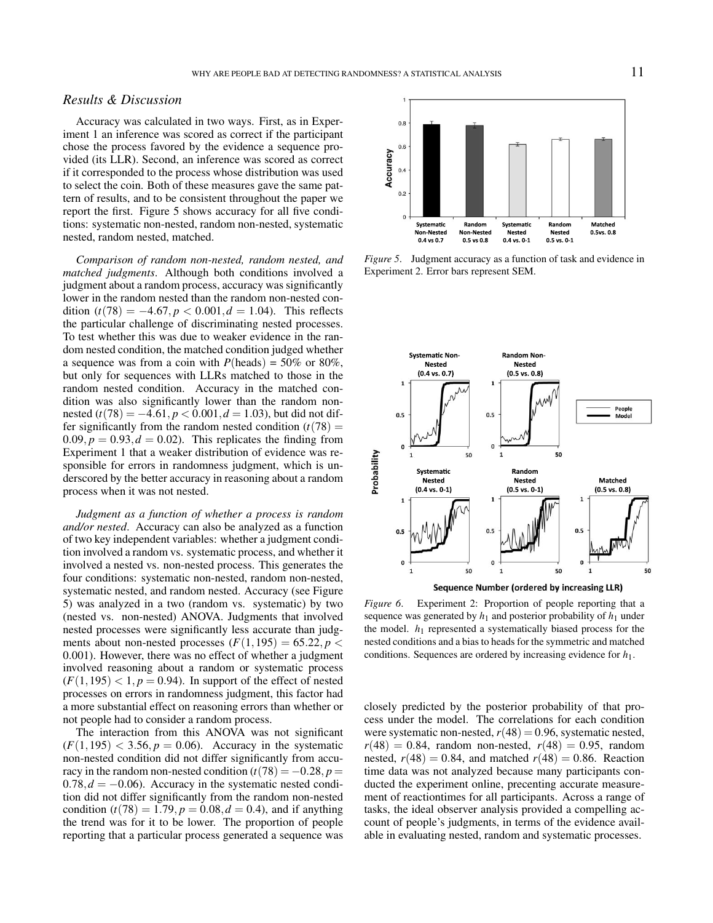## *Results & Discussion*

Accuracy was calculated in two ways. First, as in Experiment 1 an inference was scored as correct if the participant chose the process favored by the evidence a sequence provided (its LLR). Second, an inference was scored as correct if it corresponded to the process whose distribution was used to select the coin. Both of these measures gave the same pattern of results, and to be consistent throughout the paper we report the first. Figure 5 shows accuracy for all five conditions: systematic non-nested, random non-nested, systematic nested, random nested, matched.

*Comparison of random non-nested, random nested, and matched judgments*. Although both conditions involved a judgment about a random process, accuracy was significantly lower in the random nested than the random non-nested condition  $(t(78) = -4.67, p < 0.001, d = 1.04)$ . This reflects the particular challenge of discriminating nested processes. To test whether this was due to weaker evidence in the random nested condition, the matched condition judged whether a sequence was from a coin with  $P(\text{heads}) = 50\%$  or 80%, but only for sequences with LLRs matched to those in the random nested condition. Accuracy in the matched condition was also significantly lower than the random nonnested  $(t(78) = -4.61, p < 0.001, d = 1.03)$ , but did not differ significantly from the random nested condition  $(t(78)) =$  $0.09, p = 0.93, d = 0.02$ . This replicates the finding from Experiment 1 that a weaker distribution of evidence was responsible for errors in randomness judgment, which is underscored by the better accuracy in reasoning about a random process when it was not nested.

*Judgment as a function of whether a process is random and/or nested*. Accuracy can also be analyzed as a function of two key independent variables: whether a judgment condition involved a random vs. systematic process, and whether it involved a nested vs. non-nested process. This generates the four conditions: systematic non-nested, random non-nested, systematic nested, and random nested. Accuracy (see Figure 5) was analyzed in a two (random vs. systematic) by two (nested vs. non-nested) ANOVA. Judgments that involved nested processes were significantly less accurate than judgments about non-nested processes  $(F(1, 195) = 65.22, p <$ 0.001). However, there was no effect of whether a judgment involved reasoning about a random or systematic process  $(F(1, 195) < 1, p = 0.94)$ . In support of the effect of nested processes on errors in randomness judgment, this factor had a more substantial effect on reasoning errors than whether or not people had to consider a random process.

The interaction from this ANOVA was not significant  $(F(1, 195) < 3.56, p = 0.06)$ . Accuracy in the systematic non-nested condition did not differ significantly from accuracy in the random non-nested condition  $(t(78) = -0.28, p =$  $0.78, d = -0.06$ ). Accuracy in the systematic nested condition did not differ significantly from the random non-nested condition  $(t(78) = 1.79, p = 0.08, d = 0.4)$ , and if anything the trend was for it to be lower. The proportion of people reporting that a particular process generated a sequence was



*Figure 5*. Judgment accuracy as a function of task and evidence in Experiment 2. Error bars represent SEM.



Sequence Number (ordered by increasing LLR)

*Figure 6*. Experiment 2: Proportion of people reporting that a sequence was generated by  $h_1$  and posterior probability of  $h_1$  under the model. *h*<sup>1</sup> represented a systematically biased process for the nested conditions and a bias to heads for the symmetric and matched conditions. Sequences are ordered by increasing evidence for *h*1.

closely predicted by the posterior probability of that process under the model. The correlations for each condition were systematic non-nested,  $r(48) = 0.96$ , systematic nested,  $r(48) = 0.84$ , random non-nested,  $r(48) = 0.95$ , random nested,  $r(48) = 0.84$ , and matched  $r(48) = 0.86$ . Reaction time data was not analyzed because many participants conducted the experiment online, precenting accurate measurement of reactiontimes for all participants. Across a range of tasks, the ideal observer analysis provided a compelling account of people's judgments, in terms of the evidence available in evaluating nested, random and systematic processes.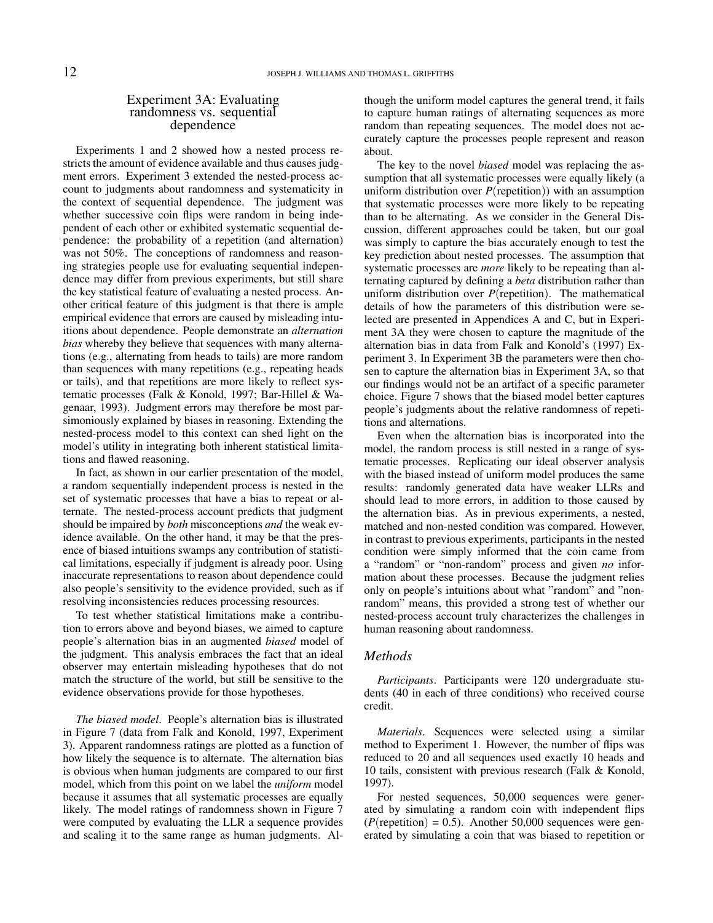#### Experiment 3A: Evaluating randomness vs. sequential dependence

Experiments 1 and 2 showed how a nested process restricts the amount of evidence available and thus causes judgment errors. Experiment 3 extended the nested-process account to judgments about randomness and systematicity in the context of sequential dependence. The judgment was whether successive coin flips were random in being independent of each other or exhibited systematic sequential dependence: the probability of a repetition (and alternation) was not 50%. The conceptions of randomness and reasoning strategies people use for evaluating sequential independence may differ from previous experiments, but still share the key statistical feature of evaluating a nested process. Another critical feature of this judgment is that there is ample empirical evidence that errors are caused by misleading intuitions about dependence. People demonstrate an *alternation bias* whereby they believe that sequences with many alternations (e.g., alternating from heads to tails) are more random than sequences with many repetitions (e.g., repeating heads or tails), and that repetitions are more likely to reflect systematic processes (Falk & Konold, 1997; Bar-Hillel & Wagenaar, 1993). Judgment errors may therefore be most parsimoniously explained by biases in reasoning. Extending the nested-process model to this context can shed light on the model's utility in integrating both inherent statistical limitations and flawed reasoning.

In fact, as shown in our earlier presentation of the model, a random sequentially independent process is nested in the set of systematic processes that have a bias to repeat or alternate. The nested-process account predicts that judgment should be impaired by *both* misconceptions *and* the weak evidence available. On the other hand, it may be that the presence of biased intuitions swamps any contribution of statistical limitations, especially if judgment is already poor. Using inaccurate representations to reason about dependence could also people's sensitivity to the evidence provided, such as if resolving inconsistencies reduces processing resources.

To test whether statistical limitations make a contribution to errors above and beyond biases, we aimed to capture people's alternation bias in an augmented *biased* model of the judgment. This analysis embraces the fact that an ideal observer may entertain misleading hypotheses that do not match the structure of the world, but still be sensitive to the evidence observations provide for those hypotheses.

*The biased model*. People's alternation bias is illustrated in Figure 7 (data from Falk and Konold, 1997, Experiment 3). Apparent randomness ratings are plotted as a function of how likely the sequence is to alternate. The alternation bias is obvious when human judgments are compared to our first model, which from this point on we label the *uniform* model because it assumes that all systematic processes are equally likely. The model ratings of randomness shown in Figure 7 were computed by evaluating the LLR a sequence provides and scaling it to the same range as human judgments. Although the uniform model captures the general trend, it fails to capture human ratings of alternating sequences as more random than repeating sequences. The model does not accurately capture the processes people represent and reason about.

The key to the novel *biased* model was replacing the assumption that all systematic processes were equally likely (a uniform distribution over *P*(repetition)) with an assumption that systematic processes were more likely to be repeating than to be alternating. As we consider in the General Discussion, different approaches could be taken, but our goal was simply to capture the bias accurately enough to test the key prediction about nested processes. The assumption that systematic processes are *more* likely to be repeating than alternating captured by defining a *beta* distribution rather than uniform distribution over *P*(repetition). The mathematical details of how the parameters of this distribution were selected are presented in Appendices A and C, but in Experiment 3A they were chosen to capture the magnitude of the alternation bias in data from Falk and Konold's (1997) Experiment 3. In Experiment 3B the parameters were then chosen to capture the alternation bias in Experiment 3A, so that our findings would not be an artifact of a specific parameter choice. Figure 7 shows that the biased model better captures people's judgments about the relative randomness of repetitions and alternations.

Even when the alternation bias is incorporated into the model, the random process is still nested in a range of systematic processes. Replicating our ideal observer analysis with the biased instead of uniform model produces the same results: randomly generated data have weaker LLRs and should lead to more errors, in addition to those caused by the alternation bias. As in previous experiments, a nested, matched and non-nested condition was compared. However, in contrast to previous experiments, participants in the nested condition were simply informed that the coin came from a "random" or "non-random" process and given *no* information about these processes. Because the judgment relies only on people's intuitions about what "random" and "nonrandom" means, this provided a strong test of whether our nested-process account truly characterizes the challenges in human reasoning about randomness.

#### *Methods*

*Participants*. Participants were 120 undergraduate students (40 in each of three conditions) who received course credit.

*Materials*. Sequences were selected using a similar method to Experiment 1. However, the number of flips was reduced to 20 and all sequences used exactly 10 heads and 10 tails, consistent with previous research (Falk & Konold, 1997).

For nested sequences, 50,000 sequences were generated by simulating a random coin with independent flips  $(P(\text{repetition}) = 0.5)$ . Another 50,000 sequences were generated by simulating a coin that was biased to repetition or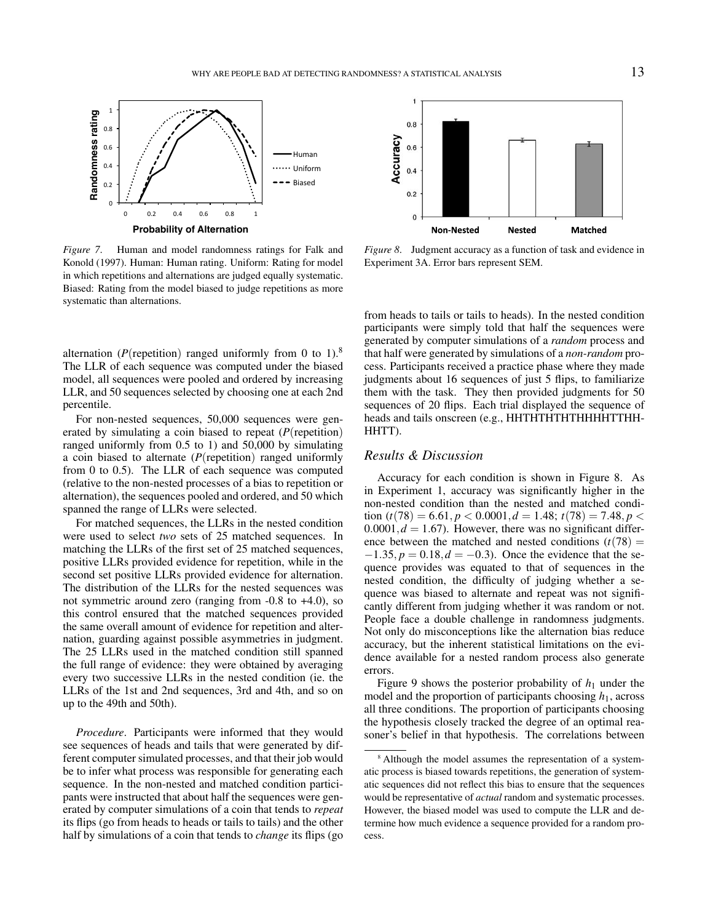



*Figure 7*. Human and model randomness ratings for Falk and Konold (1997). Human: Human rating. Uniform: Rating for model in which repetitions and alternations are judged equally systematic. Biased: Rating from the model biased to judge repetitions as more systematic than alternations.

alternation ( $P$ (repetition) ranged uniformly from 0 to 1).<sup>8</sup> The LLR of each sequence was computed under the biased model, all sequences were pooled and ordered by increasing LLR, and 50 sequences selected by choosing one at each 2nd percentile.

For non-nested sequences, 50,000 sequences were generated by simulating a coin biased to repeat (*P*(repetition) ranged uniformly from 0.5 to 1) and 50,000 by simulating a coin biased to alternate (*P*(repetition) ranged uniformly from 0 to 0.5). The LLR of each sequence was computed (relative to the non-nested processes of a bias to repetition or alternation), the sequences pooled and ordered, and 50 which spanned the range of LLRs were selected.

For matched sequences, the LLRs in the nested condition were used to select *two* sets of 25 matched sequences. In matching the LLRs of the first set of 25 matched sequences, positive LLRs provided evidence for repetition, while in the second set positive LLRs provided evidence for alternation. The distribution of the LLRs for the nested sequences was not symmetric around zero (ranging from -0.8 to +4.0), so this control ensured that the matched sequences provided the same overall amount of evidence for repetition and alternation, guarding against possible asymmetries in judgment. The 25 LLRs used in the matched condition still spanned the full range of evidence: they were obtained by averaging every two successive LLRs in the nested condition (ie. the LLRs of the 1st and 2nd sequences, 3rd and 4th, and so on up to the 49th and 50th).

*Procedure*. Participants were informed that they would see sequences of heads and tails that were generated by different computer simulated processes, and that their job would be to infer what process was responsible for generating each sequence. In the non-nested and matched condition participants were instructed that about half the sequences were generated by computer simulations of a coin that tends to *repeat* its flips (go from heads to heads or tails to tails) and the other half by simulations of a coin that tends to *change* its flips (go

*Figure 8*. Judgment accuracy as a function of task and evidence in Experiment 3A. Error bars represent SEM.

from heads to tails or tails to heads). In the nested condition participants were simply told that half the sequences were generated by computer simulations of a *random* process and that half were generated by simulations of a *non-random* process. Participants received a practice phase where they made judgments about 16 sequences of just 5 flips, to familiarize them with the task. They then provided judgments for 50 sequences of 20 flips. Each trial displayed the sequence of heads and tails onscreen (e.g., HHTHTHTHTHHHHTTHH-HHTT).

## *Results & Discussion*

Accuracy for each condition is shown in Figure 8. As in Experiment 1, accuracy was significantly higher in the non-nested condition than the nested and matched condition  $(t(78) = 6.61, p < 0.0001, d = 1.48; t(78) = 7.48, p <$  $0.0001, d = 1.67$ . However, there was no significant difference between the matched and nested conditions  $(t(78)) =$  $-1.35, p = 0.18, d = -0.3$ . Once the evidence that the sequence provides was equated to that of sequences in the nested condition, the difficulty of judging whether a sequence was biased to alternate and repeat was not significantly different from judging whether it was random or not. People face a double challenge in randomness judgments. Not only do misconceptions like the alternation bias reduce accuracy, but the inherent statistical limitations on the evidence available for a nested random process also generate errors.

Figure 9 shows the posterior probability of  $h_1$  under the model and the proportion of participants choosing  $h_1$ , across all three conditions. The proportion of participants choosing the hypothesis closely tracked the degree of an optimal reasoner's belief in that hypothesis. The correlations between

<sup>&</sup>lt;sup>8</sup> Although the model assumes the representation of a systematic process is biased towards repetitions, the generation of systematic sequences did not reflect this bias to ensure that the sequences would be representative of *actual* random and systematic processes. However, the biased model was used to compute the LLR and determine how much evidence a sequence provided for a random process.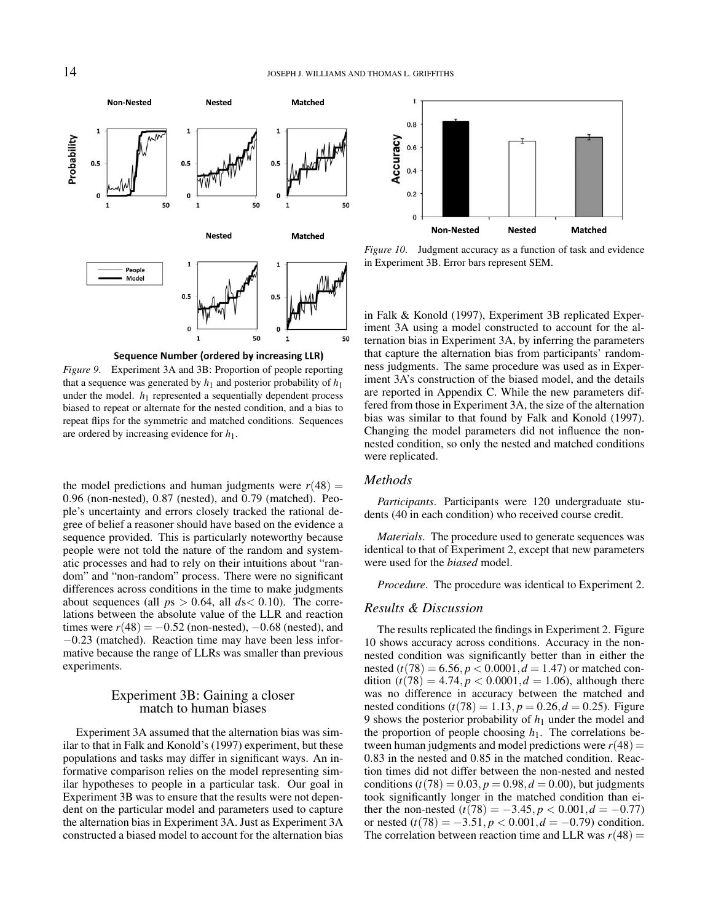





Sequence Number (ordered by increasing LLR)

*Figure 9*. Experiment 3A and 3B: Proportion of people reporting that a sequence was generated by  $h_1$  and posterior probability of  $h_1$ under the model.  $h_1$  represented a sequentially dependent process biased to repeat or alternate for the nested condition, and a bias to repeat flips for the symmetric and matched conditions. Sequences are ordered by increasing evidence for *h*1.

the model predictions and human judgments were  $r(48) =$ 0.96 (non-nested), 0.87 (nested), and 0.79 (matched). People's uncertainty and errors closely tracked the rational degree of belief a reasoner should have based on the evidence a sequence provided. This is particularly noteworthy because people were not told the nature of the random and systematic processes and had to rely on their intuitions about "random" and "non-random" process. There were no significant differences across conditions in the time to make judgments about sequences (all  $ps > 0.64$ , all  $ds < 0.10$ ). The correlations between the absolute value of the LLR and reaction times were  $r(48) = -0.52$  (non-nested),  $-0.68$  (nested), and −0.23 (matched). Reaction time may have been less informative because the range of LLRs was smaller than previous experiments.

#### Experiment 3B: Gaining a closer match to human biases

Experiment 3A assumed that the alternation bias was similar to that in Falk and Konold's (1997) experiment, but these populations and tasks may differ in significant ways. An informative comparison relies on the model representing similar hypotheses to people in a particular task. Our goal in Experiment 3B was to ensure that the results were not dependent on the particular model and parameters used to capture the alternation bias in Experiment 3A. Just as Experiment 3A constructed a biased model to account for the alternation bias

*Figure 10*. Judgment accuracy as a function of task and evidence in Experiment 3B. Error bars represent SEM.

in Falk & Konold (1997), Experiment 3B replicated Experiment 3A using a model constructed to account for the alternation bias in Experiment 3A, by inferring the parameters that capture the alternation bias from participants' randomness judgments. The same procedure was used as in Experiment 3A's construction of the biased model, and the details are reported in Appendix C. While the new parameters differed from those in Experiment 3A, the size of the alternation bias was similar to that found by Falk and Konold (1997). Changing the model parameters did not influence the nonnested condition, so only the nested and matched conditions were replicated.

## *Methods*

*Participants*. Participants were 120 undergraduate students (40 in each condition) who received course credit.

*Materials*. The procedure used to generate sequences was identical to that of Experiment 2, except that new parameters were used for the *biased* model.

*Procedure*. The procedure was identical to Experiment 2.

#### *Results & Discussion*

The results replicated the findings in Experiment 2. Figure 10 shows accuracy across conditions. Accuracy in the nonnested condition was significantly better than in either the nested ( $t(78) = 6.56$ ,  $p < 0.0001$ ,  $d = 1.47$ ) or matched condition  $(t(78) = 4.74, p < 0.0001, d = 1.06)$ , although there was no difference in accuracy between the matched and nested conditions  $(t(78) = 1.13, p = 0.26, d = 0.25)$ . Figure 9 shows the posterior probability of *h*<sup>1</sup> under the model and the proportion of people choosing  $h_1$ . The correlations between human judgments and model predictions were  $r(48) =$ 0.83 in the nested and 0.85 in the matched condition. Reaction times did not differ between the non-nested and nested conditions  $(t(78) = 0.03, p = 0.98, d = 0.00)$ , but judgments took significantly longer in the matched condition than either the non-nested  $(t(78) = -3.45, p < 0.001, d = -0.77)$ or nested  $(t(78) = -3.51, p < 0.001, d = -0.79)$  condition. The correlation between reaction time and LLR was  $r(48) =$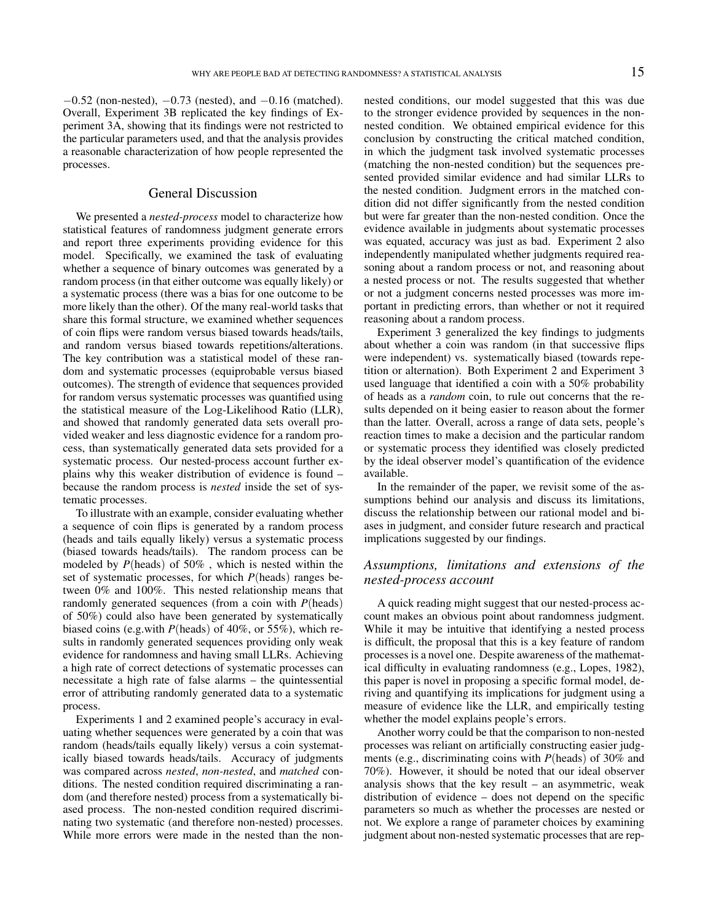$-0.52$  (non-nested),  $-0.73$  (nested), and  $-0.16$  (matched). Overall, Experiment 3B replicated the key findings of Experiment 3A, showing that its findings were not restricted to the particular parameters used, and that the analysis provides a reasonable characterization of how people represented the processes.

#### General Discussion

We presented a *nested-process* model to characterize how statistical features of randomness judgment generate errors and report three experiments providing evidence for this model. Specifically, we examined the task of evaluating whether a sequence of binary outcomes was generated by a random process (in that either outcome was equally likely) or a systematic process (there was a bias for one outcome to be more likely than the other). Of the many real-world tasks that share this formal structure, we examined whether sequences of coin flips were random versus biased towards heads/tails, and random versus biased towards repetitions/alterations. The key contribution was a statistical model of these random and systematic processes (equiprobable versus biased outcomes). The strength of evidence that sequences provided for random versus systematic processes was quantified using the statistical measure of the Log-Likelihood Ratio (LLR), and showed that randomly generated data sets overall provided weaker and less diagnostic evidence for a random process, than systematically generated data sets provided for a systematic process. Our nested-process account further explains why this weaker distribution of evidence is found – because the random process is *nested* inside the set of systematic processes.

To illustrate with an example, consider evaluating whether a sequence of coin flips is generated by a random process (heads and tails equally likely) versus a systematic process (biased towards heads/tails). The random process can be modeled by *P*(heads) of 50% , which is nested within the set of systematic processes, for which *P*(heads) ranges between 0% and 100%. This nested relationship means that randomly generated sequences (from a coin with *P*(heads) of 50%) could also have been generated by systematically biased coins (e.g.with *P*(heads) of 40%, or 55%), which results in randomly generated sequences providing only weak evidence for randomness and having small LLRs. Achieving a high rate of correct detections of systematic processes can necessitate a high rate of false alarms – the quintessential error of attributing randomly generated data to a systematic process.

Experiments 1 and 2 examined people's accuracy in evaluating whether sequences were generated by a coin that was random (heads/tails equally likely) versus a coin systematically biased towards heads/tails. Accuracy of judgments was compared across *nested*, *non-nested*, and *matched* conditions. The nested condition required discriminating a random (and therefore nested) process from a systematically biased process. The non-nested condition required discriminating two systematic (and therefore non-nested) processes. While more errors were made in the nested than the nonnested conditions, our model suggested that this was due to the stronger evidence provided by sequences in the nonnested condition. We obtained empirical evidence for this conclusion by constructing the critical matched condition, in which the judgment task involved systematic processes (matching the non-nested condition) but the sequences presented provided similar evidence and had similar LLRs to the nested condition. Judgment errors in the matched condition did not differ significantly from the nested condition but were far greater than the non-nested condition. Once the evidence available in judgments about systematic processes was equated, accuracy was just as bad. Experiment 2 also independently manipulated whether judgments required reasoning about a random process or not, and reasoning about a nested process or not. The results suggested that whether or not a judgment concerns nested processes was more important in predicting errors, than whether or not it required reasoning about a random process.

Experiment 3 generalized the key findings to judgments about whether a coin was random (in that successive flips were independent) vs. systematically biased (towards repetition or alternation). Both Experiment 2 and Experiment 3 used language that identified a coin with a 50% probability of heads as a *random* coin, to rule out concerns that the results depended on it being easier to reason about the former than the latter. Overall, across a range of data sets, people's reaction times to make a decision and the particular random or systematic process they identified was closely predicted by the ideal observer model's quantification of the evidence available.

In the remainder of the paper, we revisit some of the assumptions behind our analysis and discuss its limitations, discuss the relationship between our rational model and biases in judgment, and consider future research and practical implications suggested by our findings.

## *Assumptions, limitations and extensions of the nested-process account*

A quick reading might suggest that our nested-process account makes an obvious point about randomness judgment. While it may be intuitive that identifying a nested process is difficult, the proposal that this is a key feature of random processes is a novel one. Despite awareness of the mathematical difficulty in evaluating randomness (e.g., Lopes, 1982), this paper is novel in proposing a specific formal model, deriving and quantifying its implications for judgment using a measure of evidence like the LLR, and empirically testing whether the model explains people's errors.

Another worry could be that the comparison to non-nested processes was reliant on artificially constructing easier judgments (e.g., discriminating coins with *P*(heads) of 30% and 70%). However, it should be noted that our ideal observer analysis shows that the key result – an asymmetric, weak distribution of evidence – does not depend on the specific parameters so much as whether the processes are nested or not. We explore a range of parameter choices by examining judgment about non-nested systematic processes that are rep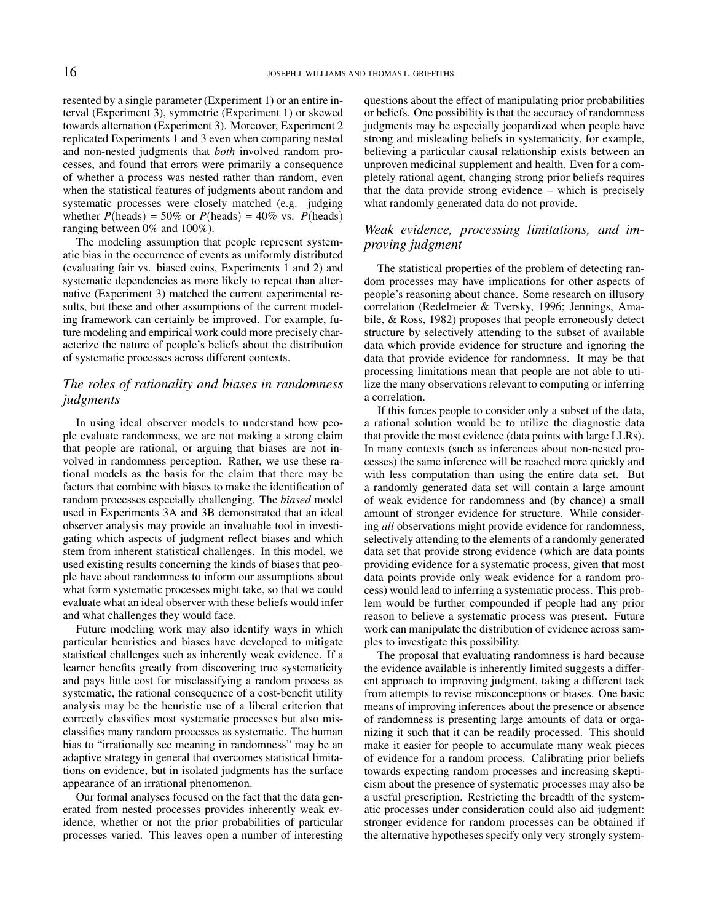resented by a single parameter (Experiment 1) or an entire interval (Experiment 3), symmetric (Experiment 1) or skewed towards alternation (Experiment 3). Moreover, Experiment 2 replicated Experiments 1 and 3 even when comparing nested and non-nested judgments that *both* involved random processes, and found that errors were primarily a consequence of whether a process was nested rather than random, even when the statistical features of judgments about random and systematic processes were closely matched (e.g. judging whether  $P(\text{heads}) = 50\%$  or  $P(\text{heads}) = 40\%$  vs.  $P(\text{heads})$ ranging between 0% and 100%).

The modeling assumption that people represent systematic bias in the occurrence of events as uniformly distributed (evaluating fair vs. biased coins, Experiments 1 and 2) and systematic dependencies as more likely to repeat than alternative (Experiment 3) matched the current experimental results, but these and other assumptions of the current modeling framework can certainly be improved. For example, future modeling and empirical work could more precisely characterize the nature of people's beliefs about the distribution of systematic processes across different contexts.

## *The roles of rationality and biases in randomness judgments*

In using ideal observer models to understand how people evaluate randomness, we are not making a strong claim that people are rational, or arguing that biases are not involved in randomness perception. Rather, we use these rational models as the basis for the claim that there may be factors that combine with biases to make the identification of random processes especially challenging. The *biased* model used in Experiments 3A and 3B demonstrated that an ideal observer analysis may provide an invaluable tool in investigating which aspects of judgment reflect biases and which stem from inherent statistical challenges. In this model, we used existing results concerning the kinds of biases that people have about randomness to inform our assumptions about what form systematic processes might take, so that we could evaluate what an ideal observer with these beliefs would infer and what challenges they would face.

Future modeling work may also identify ways in which particular heuristics and biases have developed to mitigate statistical challenges such as inherently weak evidence. If a learner benefits greatly from discovering true systematicity and pays little cost for misclassifying a random process as systematic, the rational consequence of a cost-benefit utility analysis may be the heuristic use of a liberal criterion that correctly classifies most systematic processes but also misclassifies many random processes as systematic. The human bias to "irrationally see meaning in randomness" may be an adaptive strategy in general that overcomes statistical limitations on evidence, but in isolated judgments has the surface appearance of an irrational phenomenon.

Our formal analyses focused on the fact that the data generated from nested processes provides inherently weak evidence, whether or not the prior probabilities of particular processes varied. This leaves open a number of interesting questions about the effect of manipulating prior probabilities or beliefs. One possibility is that the accuracy of randomness judgments may be especially jeopardized when people have strong and misleading beliefs in systematicity, for example, believing a particular causal relationship exists between an unproven medicinal supplement and health. Even for a completely rational agent, changing strong prior beliefs requires that the data provide strong evidence – which is precisely what randomly generated data do not provide.

## *Weak evidence, processing limitations, and improving judgment*

The statistical properties of the problem of detecting random processes may have implications for other aspects of people's reasoning about chance. Some research on illusory correlation (Redelmeier & Tversky, 1996; Jennings, Amabile, & Ross, 1982) proposes that people erroneously detect structure by selectively attending to the subset of available data which provide evidence for structure and ignoring the data that provide evidence for randomness. It may be that processing limitations mean that people are not able to utilize the many observations relevant to computing or inferring a correlation.

If this forces people to consider only a subset of the data, a rational solution would be to utilize the diagnostic data that provide the most evidence (data points with large LLRs). In many contexts (such as inferences about non-nested processes) the same inference will be reached more quickly and with less computation than using the entire data set. But a randomly generated data set will contain a large amount of weak evidence for randomness and (by chance) a small amount of stronger evidence for structure. While considering *all* observations might provide evidence for randomness, selectively attending to the elements of a randomly generated data set that provide strong evidence (which are data points providing evidence for a systematic process, given that most data points provide only weak evidence for a random process) would lead to inferring a systematic process. This problem would be further compounded if people had any prior reason to believe a systematic process was present. Future work can manipulate the distribution of evidence across samples to investigate this possibility.

The proposal that evaluating randomness is hard because the evidence available is inherently limited suggests a different approach to improving judgment, taking a different tack from attempts to revise misconceptions or biases. One basic means of improving inferences about the presence or absence of randomness is presenting large amounts of data or organizing it such that it can be readily processed. This should make it easier for people to accumulate many weak pieces of evidence for a random process. Calibrating prior beliefs towards expecting random processes and increasing skepticism about the presence of systematic processes may also be a useful prescription. Restricting the breadth of the systematic processes under consideration could also aid judgment: stronger evidence for random processes can be obtained if the alternative hypotheses specify only very strongly system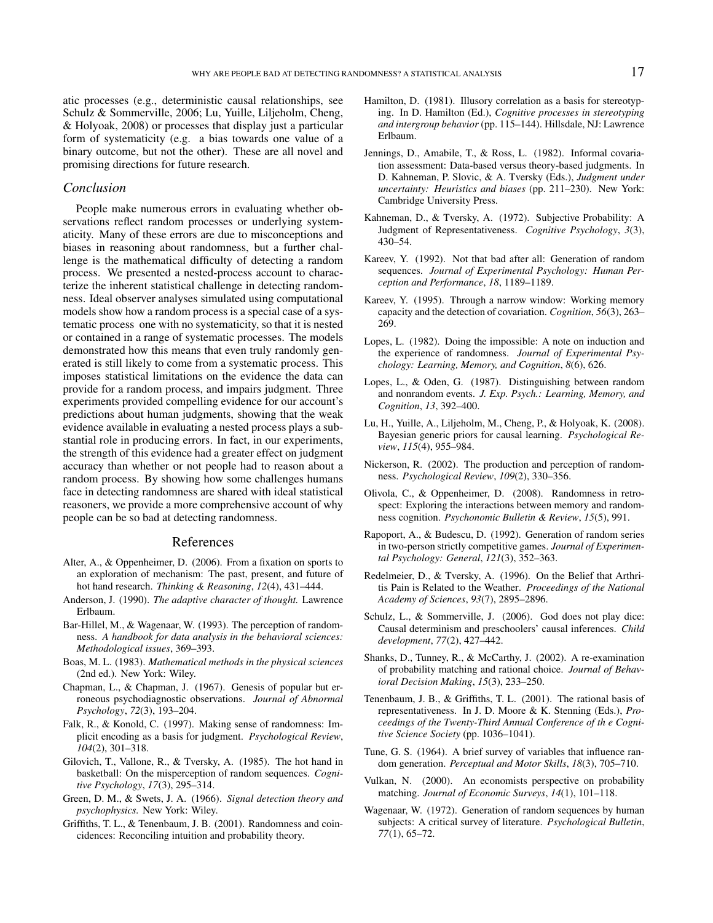atic processes (e.g., deterministic causal relationships, see Schulz & Sommerville, 2006; Lu, Yuille, Liljeholm, Cheng, & Holyoak, 2008) or processes that display just a particular form of systematicity (e.g. a bias towards one value of a binary outcome, but not the other). These are all novel and promising directions for future research.

#### *Conclusion*

People make numerous errors in evaluating whether observations reflect random processes or underlying systematicity. Many of these errors are due to misconceptions and biases in reasoning about randomness, but a further challenge is the mathematical difficulty of detecting a random process. We presented a nested-process account to characterize the inherent statistical challenge in detecting randomness. Ideal observer analyses simulated using computational models show how a random process is a special case of a systematic process one with no systematicity, so that it is nested or contained in a range of systematic processes. The models demonstrated how this means that even truly randomly generated is still likely to come from a systematic process. This imposes statistical limitations on the evidence the data can provide for a random process, and impairs judgment. Three experiments provided compelling evidence for our account's predictions about human judgments, showing that the weak evidence available in evaluating a nested process plays a substantial role in producing errors. In fact, in our experiments, the strength of this evidence had a greater effect on judgment accuracy than whether or not people had to reason about a random process. By showing how some challenges humans face in detecting randomness are shared with ideal statistical reasoners, we provide a more comprehensive account of why people can be so bad at detecting randomness.

#### References

- Alter, A., & Oppenheimer, D. (2006). From a fixation on sports to an exploration of mechanism: The past, present, and future of hot hand research. *Thinking & Reasoning*, *12*(4), 431–444.
- Anderson, J. (1990). *The adaptive character of thought.* Lawrence Erlbaum.
- Bar-Hillel, M., & Wagenaar, W. (1993). The perception of randomness. *A handbook for data analysis in the behavioral sciences: Methodological issues*, 369–393.
- Boas, M. L. (1983). *Mathematical methods in the physical sciences* (2nd ed.). New York: Wiley.
- Chapman, L., & Chapman, J. (1967). Genesis of popular but erroneous psychodiagnostic observations. *Journal of Abnormal Psychology*, *72*(3), 193–204.
- Falk, R., & Konold, C. (1997). Making sense of randomness: Implicit encoding as a basis for judgment. *Psychological Review*, *104*(2), 301–318.
- Gilovich, T., Vallone, R., & Tversky, A. (1985). The hot hand in basketball: On the misperception of random sequences. *Cognitive Psychology*, *17*(3), 295–314.
- Green, D. M., & Swets, J. A. (1966). *Signal detection theory and psychophysics.* New York: Wiley.
- Griffiths, T. L., & Tenenbaum, J. B. (2001). Randomness and coincidences: Reconciling intuition and probability theory.
- Hamilton, D. (1981). Illusory correlation as a basis for stereotyping. In D. Hamilton (Ed.), *Cognitive processes in stereotyping and intergroup behavior* (pp. 115–144). Hillsdale, NJ: Lawrence Erlbaum.
- Jennings, D., Amabile, T., & Ross, L. (1982). Informal covariation assessment: Data-based versus theory-based judgments. In D. Kahneman, P. Slovic, & A. Tversky (Eds.), *Judgment under uncertainty: Heuristics and biases* (pp. 211–230). New York: Cambridge University Press.
- Kahneman, D., & Tversky, A. (1972). Subjective Probability: A Judgment of Representativeness. *Cognitive Psychology*, *3*(3), 430–54.
- Kareev, Y. (1992). Not that bad after all: Generation of random sequences. *Journal of Experimental Psychology: Human Perception and Performance*, *18*, 1189–1189.
- Kareev, Y. (1995). Through a narrow window: Working memory capacity and the detection of covariation. *Cognition*, *56*(3), 263– 269.
- Lopes, L. (1982). Doing the impossible: A note on induction and the experience of randomness. *Journal of Experimental Psychology: Learning, Memory, and Cognition*, *8*(6), 626.
- Lopes, L., & Oden, G. (1987). Distinguishing between random and nonrandom events. *J. Exp. Psych.: Learning, Memory, and Cognition*, *13*, 392–400.
- Lu, H., Yuille, A., Liljeholm, M., Cheng, P., & Holyoak, K. (2008). Bayesian generic priors for causal learning. *Psychological Review*, *115*(4), 955–984.
- Nickerson, R. (2002). The production and perception of randomness. *Psychological Review*, *109*(2), 330–356.
- Olivola, C., & Oppenheimer, D. (2008). Randomness in retrospect: Exploring the interactions between memory and randomness cognition. *Psychonomic Bulletin & Review*, *15*(5), 991.
- Rapoport, A., & Budescu, D. (1992). Generation of random series in two-person strictly competitive games. *Journal of Experimental Psychology: General*, *121*(3), 352–363.
- Redelmeier, D., & Tversky, A. (1996). On the Belief that Arthritis Pain is Related to the Weather. *Proceedings of the National Academy of Sciences*, *93*(7), 2895–2896.
- Schulz, L., & Sommerville, J. (2006). God does not play dice: Causal determinism and preschoolers' causal inferences. *Child development*, *77*(2), 427–442.
- Shanks, D., Tunney, R., & McCarthy, J. (2002). A re-examination of probability matching and rational choice. *Journal of Behavioral Decision Making*, *15*(3), 233–250.
- Tenenbaum, J. B., & Griffiths, T. L. (2001). The rational basis of representativeness. In J. D. Moore & K. Stenning (Eds.), *Proceedings of the Twenty-Third Annual Conference of th e Cognitive Science Society* (pp. 1036–1041).
- Tune, G. S. (1964). A brief survey of variables that influence random generation. *Perceptual and Motor Skills*, *18*(3), 705–710.
- Vulkan, N. (2000). An economists perspective on probability matching. *Journal of Economic Surveys*, *14*(1), 101–118.
- Wagenaar, W. (1972). Generation of random sequences by human subjects: A critical survey of literature. *Psychological Bulletin*, *77*(1), 65–72.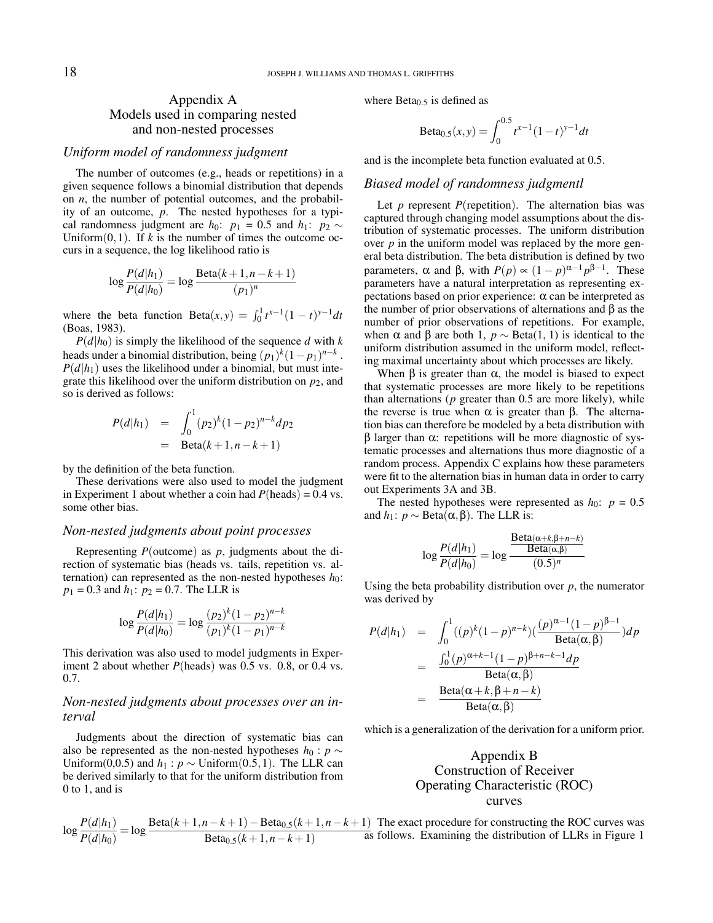## Appendix A Models used in comparing nested and non-nested processes

#### *Uniform model of randomness judgment*

The number of outcomes (e.g., heads or repetitions) in a given sequence follows a binomial distribution that depends on *n*, the number of potential outcomes, and the probability of an outcome, *p*. The nested hypotheses for a typical randomness judgment are *h*<sub>0</sub>: *p*<sub>1</sub> = 0.5 and *h*<sub>1</sub>: *p*<sub>2</sub> ∼ Uniform $(0,1)$ . If *k* is the number of times the outcome occurs in a sequence, the log likelihood ratio is

$$
\log \frac{P(d|h_1)}{P(d|h_0)} = \log \frac{\text{Beta}(k+1, n-k+1)}{(p_1)^n}
$$

where the beta function  $Beta(x, y) = \int_0^1 t^{x-1} (1-t)^{y-1} dt$ (Boas, 1983).

 $P(d|h_0)$  is simply the likelihood of the sequence *d* with *k* heads under a binomial distribution, being  $(p_1)^k (1-p_1)^{n-k}$ .  $P(d|h_1)$  uses the likelihood under a binomial, but must integrate this likelihood over the uniform distribution on  $p_2$ , and so is derived as follows:

$$
P(d|h_1) = \int_0^1 (p_2)^k (1-p_2)^{n-k} dp_2
$$
  
= Beta(k+1, n-k+1)

by the definition of the beta function.

These derivations were also used to model the judgment in Experiment 1 about whether a coin had  $P(\text{heads}) = 0.4 \text{ vs.}$ some other bias.

#### *Non-nested judgments about point processes*

Representing *P*(outcome) as *p*, judgments about the direction of systematic bias (heads vs. tails, repetition vs. alternation) can represented as the non-nested hypotheses  $h_0$ :  $p_1 = 0.3$  and  $h_1$ :  $p_2 = 0.7$ . The LLR is

$$
\log \frac{P(d|h_1)}{P(d|h_0)} = \log \frac{(p_2)^k (1-p_2)^{n-k}}{(p_1)^k (1-p_1)^{n-k}}
$$

This derivation was also used to model judgments in Experiment 2 about whether *P*(heads) was 0.5 vs. 0.8, or 0.4 vs. 0.7.

#### *Non-nested judgments about processes over an interval*

Judgments about the direction of systematic bias can also be represented as the non-nested hypotheses  $h_0$  :  $p \sim$ Uniform(0,0.5) and  $h_1$  :  $p$  ∼ Uniform(0.5,1). The LLR can be derived similarly to that for the uniform distribution from 0 to 1, and is

$$
\log \frac{P(d|h_1)}{P(d|h_0)} = \log \frac{\text{Beta}(k+1, n-k+1) - \text{Beta}_{0.5}(k+1, n-k+1)}{\text{Beta}_{0.5}(k+1, n-k+1)} \text{ The } \epsilon
$$

where  $Beta_{0.5}$  is defined as

Beta<sub>0.5</sub>(x,y) = 
$$
\int_0^{0.5} t^{x-1} (1-t)^{y-1} dt
$$

and is the incomplete beta function evaluated at 0.5.

#### *Biased model of randomness judgmentl*

Let  $p$  represent  $P$ (repetition). The alternation bias was captured through changing model assumptions about the distribution of systematic processes. The uniform distribution over *p* in the uniform model was replaced by the more general beta distribution. The beta distribution is defined by two parameters, α and β, with  $P(p) \propto (1-p)^{\alpha-1} p^{\beta-1}$ . These parameters have a natural interpretation as representing expectations based on prior experience: α can be interpreted as the number of prior observations of alternations and β as the number of prior observations of repetitions. For example, when  $\alpha$  and  $\beta$  are both 1,  $p \sim \text{Beta}(1, 1)$  is identical to the uniform distribution assumed in the uniform model, reflecting maximal uncertainty about which processes are likely.

When  $β$  is greater than  $α$ , the model is biased to expect that systematic processes are more likely to be repetitions than alternations (*p* greater than 0.5 are more likely), while the reverse is true when  $\alpha$  is greater than β. The alternation bias can therefore be modeled by a beta distribution with  $β$  larger than  $α$ : repetitions will be more diagnostic of systematic processes and alternations thus more diagnostic of a random process. Appendix C explains how these parameters were fit to the alternation bias in human data in order to carry out Experiments 3A and 3B.

The nested hypotheses were represented as  $h_0$ :  $p = 0.5$ and *h*<sub>1</sub>: *p* ∼ Beta( $\alpha$ , β). The LLR is:

$$
\log \frac{P(d|h_1)}{P(d|h_0)} = \log \frac{\frac{\text{Beta}(\alpha + k, \beta + n - k)}{\text{Beta}(\alpha, \beta)}}{(0.5)^n}
$$

Using the beta probability distribution over  $p$ , the numerator was derived by

$$
P(d|h_1) = \int_0^1 ((p)^k (1-p)^{n-k}) \left(\frac{(p)^{\alpha-1} (1-p)^{\beta-1}}{\text{Beta}(\alpha, \beta)}\right) dp
$$
  
= 
$$
\frac{\int_0^1 (p)^{\alpha+k-1} (1-p)^{\beta+n-k-1} dp}{\text{Beta}(\alpha, \beta)}
$$
  
= 
$$
\frac{\text{Beta}(\alpha+k, \beta+n-k)}{\text{Beta}(\alpha, \beta)}
$$

which is a generalization of the derivation for a uniform prior.

# Appendix B Construction of Receiver Operating Characteristic (ROC) curves

exact procedure for constructing the ROC curves was ws. Examining the distribution of LLRs in Figure 1